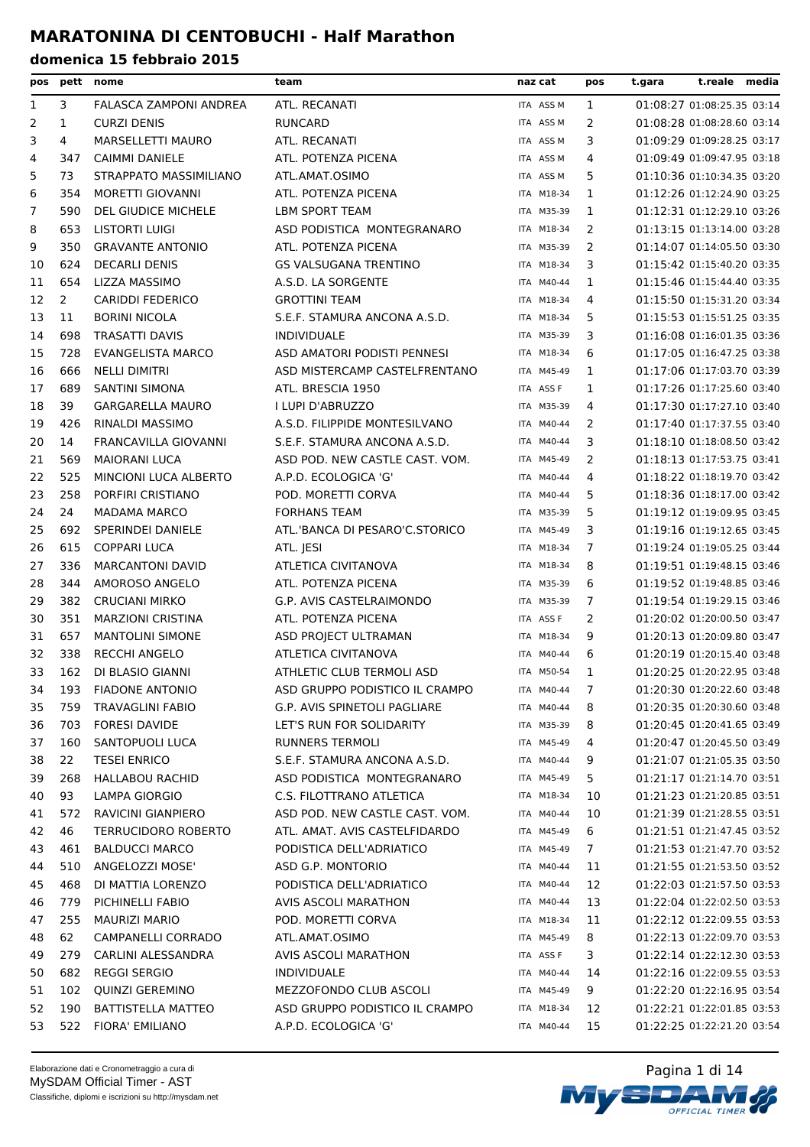| pos | pett           | nome                        | team                           | naz cat    | pos            | t.gara | t.reale media              |  |
|-----|----------------|-----------------------------|--------------------------------|------------|----------------|--------|----------------------------|--|
| 1   | 3              | FALASCA ZAMPONI ANDREA      | ATL. RECANATI                  | ITA ASS M  | 1              |        | 01:08:27 01:08:25.35 03:14 |  |
| 2   | $\mathbf{1}$   | <b>CURZI DENIS</b>          | <b>RUNCARD</b>                 | ITA ASS M  | 2              |        | 01:08:28 01:08:28.60 03:14 |  |
| 3   | 4              | <b>MARSELLETTI MAURO</b>    | ATL. RECANATI                  | ITA ASS M  | 3              |        | 01:09:29 01:09:28.25 03:17 |  |
| 4   | 347            | CAIMMI DANIELE              | ATL. POTENZA PICENA            | ITA ASS M  | 4              |        | 01:09:49 01:09:47.95 03:18 |  |
| 5   | 73             | STRAPPATO MASSIMILIANO      | ATL.AMAT.OSIMO                 | ITA ASS M  | 5              |        | 01:10:36 01:10:34.35 03:20 |  |
| 6   | 354            | MORETTI GIOVANNI            | ATL. POTENZA PICENA            | ITA M18-34 | 1              |        | 01:12:26 01:12:24.90 03:25 |  |
| 7   | 590            | <b>DEL GIUDICE MICHELE</b>  | <b>LBM SPORT TEAM</b>          | ITA M35-39 | 1              |        | 01:12:31 01:12:29.10 03:26 |  |
| 8   | 653            | <b>LISTORTI LUIGI</b>       | ASD PODISTICA MONTEGRANARO     | ITA M18-34 | 2              |        | 01:13:15 01:13:14.00 03:28 |  |
| 9   | 350            | <b>GRAVANTE ANTONIO</b>     | ATL. POTENZA PICENA            | ITA M35-39 | 2              |        | 01:14:07 01:14:05.50 03:30 |  |
| 10  | 624            | <b>DECARLI DENIS</b>        | <b>GS VALSUGANA TRENTINO</b>   | ITA M18-34 | 3              |        | 01:15:42 01:15:40.20 03:35 |  |
| 11  | 654            | LIZZA MASSIMO               | A.S.D. LA SORGENTE             | ITA M40-44 | 1              |        | 01:15:46 01:15:44.40 03:35 |  |
| 12  | $\overline{2}$ | <b>CARIDDI FEDERICO</b>     | <b>GROTTINI TEAM</b>           | ITA M18-34 | 4              |        | 01:15:50 01:15:31.20 03:34 |  |
| 13  | 11             | <b>BORINI NICOLA</b>        | S.E.F. STAMURA ANCONA A.S.D.   | ITA M18-34 | 5              |        | 01:15:53 01:15:51.25 03:35 |  |
| 14  | 698            | <b>TRASATTI DAVIS</b>       | <b>INDIVIDUALE</b>             | ITA M35-39 | 3              |        | 01:16:08 01:16:01.35 03:36 |  |
| 15  | 728            | <b>EVANGELISTA MARCO</b>    | ASD AMATORI PODISTI PENNESI    | ITA M18-34 | 6              |        | 01:17:05 01:16:47.25 03:38 |  |
| 16  | 666            | <b>NELLI DIMITRI</b>        | ASD MISTERCAMP CASTELFRENTANO  | ITA M45-49 | 1              |        | 01:17:06 01:17:03.70 03:39 |  |
| 17  | 689            | <b>SANTINI SIMONA</b>       | ATL. BRESCIA 1950              | ITA ASS F  | 1              |        | 01:17:26 01:17:25.60 03:40 |  |
| 18  | 39             | <b>GARGARELLA MAURO</b>     | I LUPI D'ABRUZZO               | ITA M35-39 | 4              |        | 01:17:30 01:17:27.10 03:40 |  |
| 19  | 426            | RINALDI MASSIMO             | A.S.D. FILIPPIDE MONTESILVANO  | ITA M40-44 | 2              |        | 01:17:40 01:17:37.55 03:40 |  |
| 20  | 14             | <b>FRANCAVILLA GIOVANNI</b> | S.E.F. STAMURA ANCONA A.S.D.   | ITA M40-44 | 3              |        | 01:18:10 01:18:08.50 03:42 |  |
| 21  | 569            | <b>MAIORANI LUCA</b>        | ASD POD. NEW CASTLE CAST. VOM. | ITA M45-49 | 2              |        | 01:18:13 01:17:53.75 03:41 |  |
| 22  | 525            | MINCIONI LUCA ALBERTO       | A.P.D. ECOLOGICA 'G'           | ITA M40-44 | 4              |        | 01:18:22 01:18:19.70 03:42 |  |
| 23  | 258            | PORFIRI CRISTIANO           | POD. MORETTI CORVA             | ITA M40-44 | 5              |        | 01:18:36 01:18:17.00 03:42 |  |
| 24  | 24             | <b>MADAMA MARCO</b>         | <b>FORHANS TEAM</b>            | ITA M35-39 | 5              |        | 01:19:12 01:19:09.95 03:45 |  |
| 25  | 692            | <b>SPERINDEI DANIELE</b>    | ATL.'BANCA DI PESARO'C.STORICO | ITA M45-49 | 3              |        | 01:19:16 01:19:12.65 03:45 |  |
| 26  | 615            | <b>COPPARI LUCA</b>         | ATL. JESI                      | ITA M18-34 | 7              |        | 01:19:24 01:19:05.25 03:44 |  |
| 27  | 336            | <b>MARCANTONI DAVID</b>     | ATLETICA CIVITANOVA            | ITA M18-34 | 8              |        | 01:19:51 01:19:48.15 03:46 |  |
| 28  | 344            | AMOROSO ANGELO              | ATL. POTENZA PICENA            | ITA M35-39 | 6              |        | 01:19:52 01:19:48.85 03:46 |  |
| 29  | 382            | <b>CRUCIANI MIRKO</b>       | G.P. AVIS CASTELRAIMONDO       | ITA M35-39 | $\overline{7}$ |        | 01:19:54 01:19:29.15 03:46 |  |
| 30  | 351            | <b>MARZIONI CRISTINA</b>    | ATL. POTENZA PICENA            | ITA ASS F  | 2              |        | 01:20:02 01:20:00.50 03:47 |  |
| 31  | 657            | <b>MANTOLINI SIMONE</b>     | ASD PROJECT ULTRAMAN           | ITA M18-34 | 9              |        | 01:20:13 01:20:09.80 03:47 |  |
| 32  | 338            | <b>RECCHI ANGELO</b>        | ATLETICA CIVITANOVA            | ITA M40-44 | 6              |        | 01:20:19 01:20:15.40 03:48 |  |
| 33  | 162            | DI BLASIO GIANNI            | ATHLETIC CLUB TERMOLI ASD      | ITA M50-54 | 1              |        | 01:20:25 01:20:22.95 03:48 |  |
| 34  | 193            | <b>FIADONE ANTONIO</b>      | ASD GRUPPO PODISTICO IL CRAMPO | ITA M40-44 | $\overline{7}$ |        | 01:20:30 01:20:22.60 03:48 |  |
| 35  | 759            | <b>TRAVAGLINI FABIO</b>     | G.P. AVIS SPINETOLI PAGLIARE   | ITA M40-44 | 8              |        | 01:20:35 01:20:30.60 03:48 |  |
| 36  | 703            | <b>FORESI DAVIDE</b>        | LET'S RUN FOR SOLIDARITY       | ITA M35-39 | 8              |        | 01:20:45 01:20:41.65 03:49 |  |
| 37  | 160            | SANTOPUOLI LUCA             | RUNNERS TERMOLI                | ITA M45-49 | 4              |        | 01:20:47 01:20:45.50 03:49 |  |
| 38  | 22             | <b>TESEI ENRICO</b>         | S.E.F. STAMURA ANCONA A.S.D.   | ITA M40-44 | 9              |        | 01:21:07 01:21:05.35 03:50 |  |
| 39  | 268            | <b>HALLABOU RACHID</b>      | ASD PODISTICA MONTEGRANARO     | ITA M45-49 | 5              |        | 01:21:17 01:21:14.70 03:51 |  |
| 40  | 93             | LAMPA GIORGIO               | C.S. FILOTTRANO ATLETICA       | ITA M18-34 | 10             |        | 01:21:23 01:21:20.85 03:51 |  |
| 41  | 572            | RAVICINI GIANPIERO          | ASD POD. NEW CASTLE CAST. VOM. | ITA M40-44 | 10             |        | 01:21:39 01:21:28.55 03:51 |  |
| 42  | 46             | <b>TERRUCIDORO ROBERTO</b>  | ATL. AMAT. AVIS CASTELFIDARDO  | ITA M45-49 | 6              |        | 01:21:51 01:21:47.45 03:52 |  |
| 43  | 461            | <b>BALDUCCI MARCO</b>       | PODISTICA DELL'ADRIATICO       | ITA M45-49 | 7              |        | 01:21:53 01:21:47.70 03:52 |  |
| 44  | 510            | ANGELOZZI MOSE'             | ASD G.P. MONTORIO              | ITA M40-44 | 11             |        | 01:21:55 01:21:53.50 03:52 |  |
| 45  | 468            | DI MATTIA LORENZO           | PODISTICA DELL'ADRIATICO       | ITA M40-44 | 12             |        | 01:22:03 01:21:57.50 03:53 |  |
| 46  | 779            | PICHINELLI FABIO            | AVIS ASCOLI MARATHON           | ITA M40-44 | 13             |        | 01:22:04 01:22:02.50 03:53 |  |
| 47  | 255            | <b>MAURIZI MARIO</b>        | POD. MORETTI CORVA             | ITA M18-34 | 11             |        | 01:22:12 01:22:09.55 03:53 |  |
| 48  | 62             | CAMPANELLI CORRADO          | ATL.AMAT.OSIMO                 | ITA M45-49 | 8              |        | 01:22:13 01:22:09.70 03:53 |  |
| 49  | 279            | CARLINI ALESSANDRA          | AVIS ASCOLI MARATHON           | ITA ASS F  | 3              |        | 01:22:14 01:22:12.30 03:53 |  |
| 50  | 682            | <b>REGGI SERGIO</b>         | <b>INDIVIDUALE</b>             | ITA M40-44 | 14             |        | 01:22:16 01:22:09.55 03:53 |  |
| 51  | 102            | QUINZI GEREMINO             | MEZZOFONDO CLUB ASCOLI         | ITA M45-49 | 9              |        | 01:22:20 01:22:16.95 03:54 |  |
| 52  | 190            | <b>BATTISTELLA MATTEO</b>   | ASD GRUPPO PODISTICO IL CRAMPO | ITA M18-34 | 12             |        | 01:22:21 01:22:01.85 03:53 |  |
| 53  | 522            | FIORA' EMILIANO             | A.P.D. ECOLOGICA 'G'           | ITA M40-44 | 15             |        | 01:22:25 01:22:21.20 03:54 |  |
|     |                |                             |                                |            |                |        |                            |  |

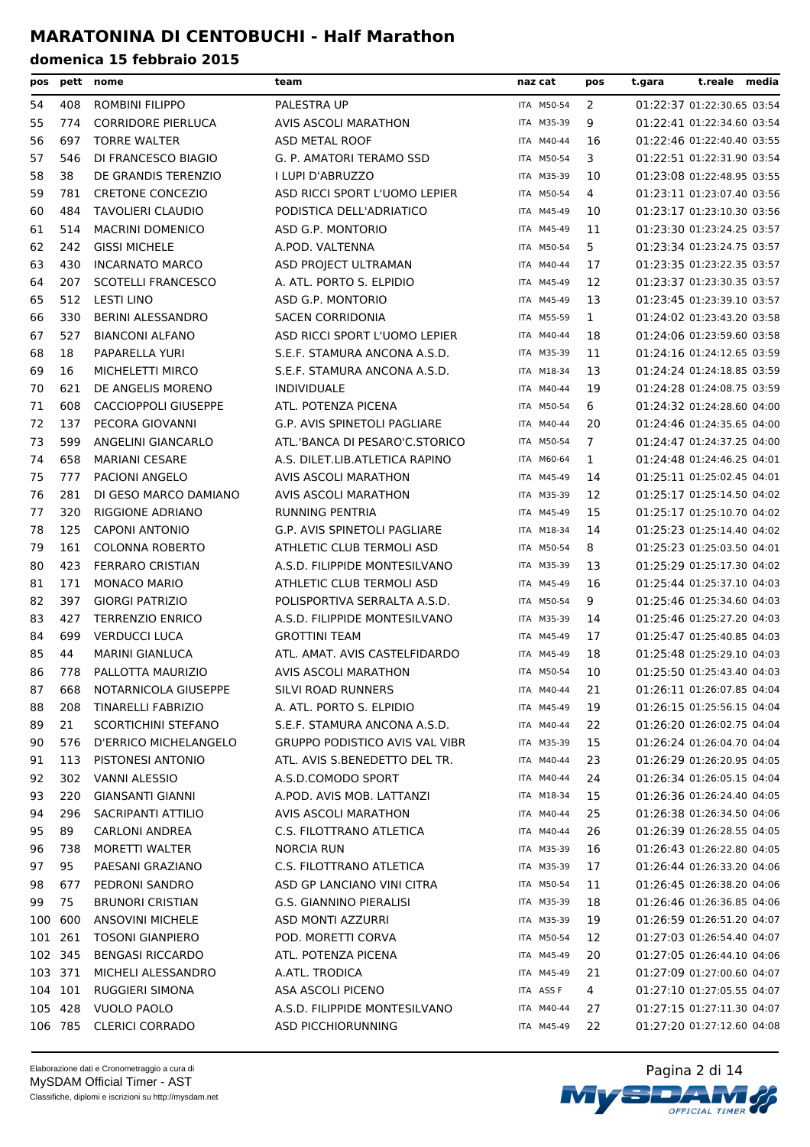| pos     |         | pett nome                    | team                                  | naz cat    | pos          | t.reale media<br>t.gara    |
|---------|---------|------------------------------|---------------------------------------|------------|--------------|----------------------------|
| 54      | 408     | ROMBINI FILIPPO              | PALESTRA UP                           | ITA M50-54 | 2            | 01:22:37 01:22:30.65 03:54 |
| 55      | 774     | <b>CORRIDORE PIERLUCA</b>    | <b>AVIS ASCOLI MARATHON</b>           | ITA M35-39 | 9            | 01:22:41 01:22:34.60 03:54 |
| 56      | 697     | <b>TORRE WALTER</b>          | ASD METAL ROOF                        | ITA M40-44 | 16           | 01:22:46 01:22:40.40 03:55 |
| 57      | 546     | DI FRANCESCO BIAGIO          | G. P. AMATORI TERAMO SSD              | ITA M50-54 | 3            | 01:22:51 01:22:31.90 03:54 |
| 58      | 38      | DE GRANDIS TERENZIO          | I LUPI D'ABRUZZO                      | ITA M35-39 | 10           | 01:23:08 01:22:48.95 03:55 |
| 59      | 781     | <b>CRETONE CONCEZIO</b>      | ASD RICCI SPORT L'UOMO LEPIER         | ITA M50-54 | 4            | 01:23:11 01:23:07.40 03:56 |
| 60      | 484     | <b>TAVOLIERI CLAUDIO</b>     | PODISTICA DELL'ADRIATICO              | ITA M45-49 | 10           | 01:23:17 01:23:10.30 03:56 |
| 61      | 514     | <b>MACRINI DOMENICO</b>      | ASD G.P. MONTORIO                     | ITA M45-49 | 11           | 01:23:30 01:23:24.25 03:57 |
| 62      | 242     | <b>GISSI MICHELE</b>         | A.POD. VALTENNA                       | ITA M50-54 | 5            | 01:23:34 01:23:24.75 03:57 |
| 63      | 430     | <b>INCARNATO MARCO</b>       | ASD PROJECT ULTRAMAN                  | ITA M40-44 | 17           | 01:23:35 01:23:22.35 03:57 |
| 64      | 207     | <b>SCOTELLI FRANCESCO</b>    | A. ATL. PORTO S. ELPIDIO              | ITA M45-49 | 12           | 01:23:37 01:23:30.35 03:57 |
| 65      | 512     | <b>LESTI LINO</b>            | ASD G.P. MONTORIO                     | ITA M45-49 | 13           | 01:23:45 01:23:39.10 03:57 |
| 66      | 330     | <b>BERINI ALESSANDRO</b>     | <b>SACEN CORRIDONIA</b>               | ITA M55-59 | $\mathbf{1}$ | 01:24:02 01:23:43.20 03:58 |
| 67      | 527     | <b>BIANCONI ALFANO</b>       | ASD RICCI SPORT L'UOMO LEPIER         | ITA M40-44 | 18           | 01:24:06 01:23:59.60 03:58 |
| 68      | 18      | PAPARELLA YURI               | S.E.F. STAMURA ANCONA A.S.D.          | ITA M35-39 | 11           | 01:24:16 01:24:12.65 03:59 |
| 69      | 16      | MICHELETTI MIRCO             | S.E.F. STAMURA ANCONA A.S.D.          | ITA M18-34 | 13           | 01:24:24 01:24:18.85 03:59 |
| 70      | 621     | DE ANGELIS MORENO            | <b>INDIVIDUALE</b>                    | ITA M40-44 | 19           | 01:24:28 01:24:08.75 03:59 |
| 71      | 608     | <b>CACCIOPPOLI GIUSEPPE</b>  | ATL. POTENZA PICENA                   | ITA M50-54 | 6            | 01:24:32 01:24:28.60 04:00 |
| 72      | 137     | PECORA GIOVANNI              | G.P. AVIS SPINETOLI PAGLIARE          | ITA M40-44 | 20           | 01:24:46 01:24:35.65 04:00 |
| 73      | 599     | ANGELINI GIANCARLO           | ATL.'BANCA DI PESARO'C.STORICO        | ITA M50-54 | 7            | 01:24:47 01:24:37.25 04:00 |
| 74      | 658     | <b>MARIANI CESARE</b>        | A.S. DILET.LIB.ATLETICA RAPINO        | ITA M60-64 | 1            | 01:24:48 01:24:46.25 04:01 |
| 75      | 777     | <b>PACIONI ANGELO</b>        | AVIS ASCOLI MARATHON                  | ITA M45-49 | 14           | 01:25:11 01:25:02.45 04:01 |
| 76      | 281     | DI GESO MARCO DAMIANO        | AVIS ASCOLI MARATHON                  | ITA M35-39 | 12           | 01:25:17 01:25:14.50 04:02 |
| 77      | 320     | RIGGIONE ADRIANO             | <b>RUNNING PENTRIA</b>                | ITA M45-49 | 15           | 01:25:17 01:25:10.70 04:02 |
| 78      | 125     | <b>CAPONI ANTONIO</b>        | <b>G.P. AVIS SPINETOLI PAGLIARE</b>   | ITA M18-34 | 14           | 01:25:23 01:25:14.40 04:02 |
| 79      | 161     | <b>COLONNA ROBERTO</b>       | ATHLETIC CLUB TERMOLI ASD             | ITA M50-54 | 8            | 01:25:23 01:25:03.50 04:01 |
| 80      | 423     | <b>FERRARO CRISTIAN</b>      | A.S.D. FILIPPIDE MONTESILVANO         | ITA M35-39 | 13           | 01:25:29 01:25:17.30 04:02 |
| 81      | 171     | <b>MONACO MARIO</b>          | ATHLETIC CLUB TERMOLI ASD             | ITA M45-49 | 16           | 01:25:44 01:25:37.10 04:03 |
| 82      | 397     | <b>GIORGI PATRIZIO</b>       | POLISPORTIVA SERRALTA A.S.D.          | ITA M50-54 | 9            | 01:25:46 01:25:34.60 04:03 |
| 83      | 427     | <b>TERRENZIO ENRICO</b>      | A.S.D. FILIPPIDE MONTESILVANO         | ITA M35-39 | 14           | 01:25:46 01:25:27.20 04:03 |
| 84      | 699     | <b>VERDUCCI LUCA</b>         | <b>GROTTINI TEAM</b>                  | ITA M45-49 | 17           | 01:25:47 01:25:40.85 04:03 |
| 85      | 44      | <b>MARINI GIANLUCA</b>       | ATL, AMAT, AVIS CASTELFIDARDO         | ITA M45-49 | 18           | 01:25:48 01:25:29.10 04:03 |
| 86      | 778     | PALLOTTA MAURIZIO            | AVIS ASCOLI MARATHON                  | ITA M50-54 | 10           | 01:25:50 01:25:43.40 04:03 |
| 87      | 668     | NOTARNICOLA GIUSEPPE         | SILVI ROAD RUNNERS                    | ITA M40-44 | 21           | 01:26:11 01:26:07.85 04:04 |
| 88      | 208     | <b>TINARELLI FABRIZIO</b>    | A. ATL. PORTO S. ELPIDIO              | ITA M45-49 | 19           | 01:26:15 01:25:56.15 04:04 |
| 89      | 21      | SCORTICHINI STEFANO          | S.E.F. STAMURA ANCONA A.S.D.          | ITA M40-44 | 22           | 01:26:20 01:26:02.75 04:04 |
| 90      | 576     | <b>D'ERRICO MICHELANGELO</b> | <b>GRUPPO PODISTICO AVIS VAL VIBR</b> | ITA M35-39 | 15           | 01:26:24 01:26:04.70 04:04 |
| 91      | 113     | PISTONESI ANTONIO            | ATL. AVIS S.BENEDETTO DEL TR.         | ITA M40-44 | 23           | 01:26:29 01:26:20.95 04:05 |
| 92      | 302     | VANNI ALESSIO                | A.S.D.COMODO SPORT                    | ITA M40-44 | 24           | 01:26:34 01:26:05.15 04:04 |
| 93      | 220     | <b>GIANSANTI GIANNI</b>      | A.POD. AVIS MOB. LATTANZI             | ITA M18-34 | 15           | 01:26:36 01:26:24.40 04:05 |
| 94      | 296     | SACRIPANTI ATTILIO           | AVIS ASCOLI MARATHON                  | ITA M40-44 | 25           | 01:26:38 01:26:34.50 04:06 |
| 95      | 89      | <b>CARLONI ANDREA</b>        | C.S. FILOTTRANO ATLETICA              | ITA M40-44 | 26           | 01:26:39 01:26:28.55 04:05 |
| 96      | 738     | MORETTI WALTER               | NORCIA RUN                            | ITA M35-39 | 16           | 01:26:43 01:26:22.80 04:05 |
| 97      | 95      | PAESANI GRAZIANO             | C.S. FILOTTRANO ATLETICA              | ITA M35-39 | 17           | 01:26:44 01:26:33.20 04:06 |
| 98      | 677     | PEDRONI SANDRO               | ASD GP LANCIANO VINI CITRA            | ITA M50-54 | 11           | 01:26:45 01:26:38.20 04:06 |
| 99      | 75      | <b>BRUNORI CRISTIAN</b>      | G.S. GIANNINO PIERALISI               | ITA M35-39 | 18           | 01:26:46 01:26:36.85 04:06 |
| 100     | 600     | <b>ANSOVINI MICHELE</b>      | ASD MONTI AZZURRI                     | ITA M35-39 | 19           | 01:26:59 01:26:51.20 04:07 |
| 101 261 |         | <b>TOSONI GIANPIERO</b>      | POD. MORETTI CORVA                    | ITA M50-54 | 12           | 01:27:03 01:26:54.40 04:07 |
| 102 345 |         | <b>BENGASI RICCARDO</b>      | ATL. POTENZA PICENA                   | ITA M45-49 | 20           | 01:27:05 01:26:44.10 04:06 |
|         | 103 371 | MICHELI ALESSANDRO           | A.ATL. TRODICA                        | ITA M45-49 | 21           | 01:27:09 01:27:00.60 04:07 |
| 104 101 |         | RUGGIERI SIMONA              | ASA ASCOLI PICENO                     | ITA ASS F  | 4            | 01:27:10 01:27:05.55 04:07 |
|         | 105 428 | <b>VUOLO PAOLO</b>           | A.S.D. FILIPPIDE MONTESILVANO         | ITA M40-44 | 27           | 01:27:15 01:27:11.30 04:07 |
|         | 106 785 | <b>CLERICI CORRADO</b>       | ASD PICCHIORUNNING                    | ITA M45-49 | 22           | 01:27:20 01:27:12.60 04:08 |



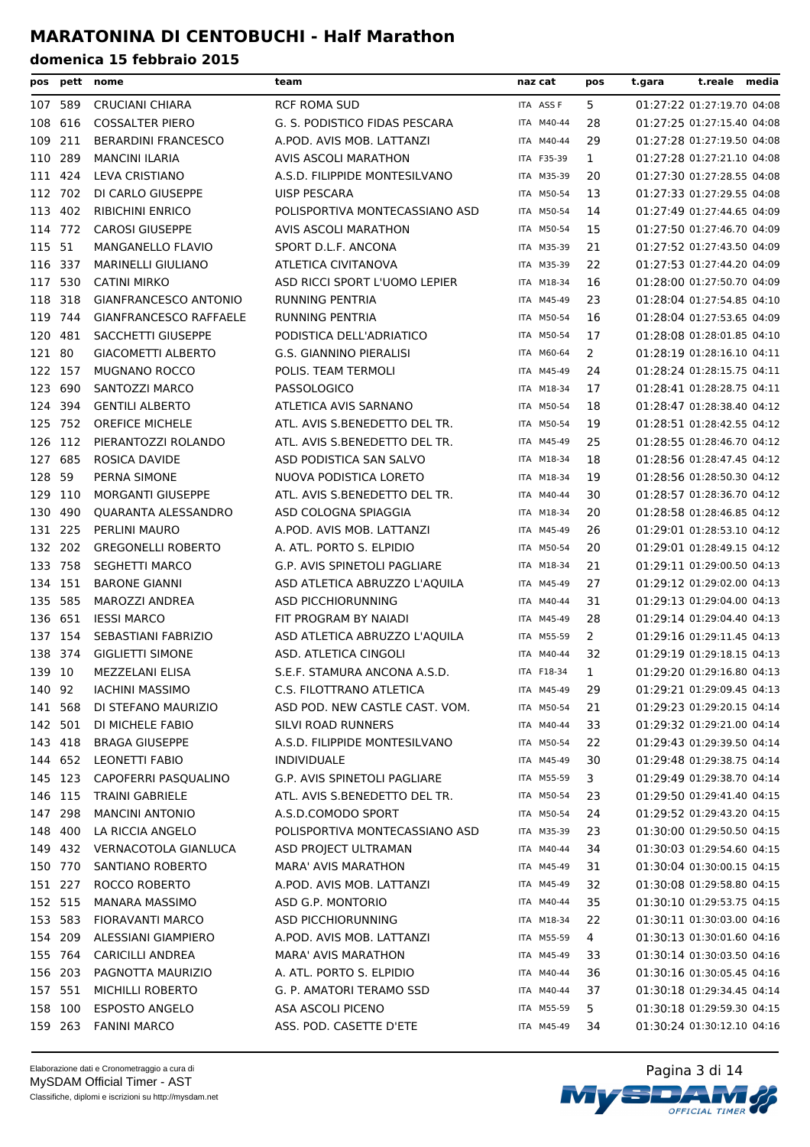| pos     |         | pett nome                                    | team                                                   | naz cat    | pos          | t.reale media<br>t.gara                                  |
|---------|---------|----------------------------------------------|--------------------------------------------------------|------------|--------------|----------------------------------------------------------|
|         | 107 589 | <b>CRUCIANI CHIARA</b>                       | <b>RCF ROMA SUD</b>                                    | ITA ASS F  | 5            | 01:27:22 01:27:19.70 04:08                               |
| 108     | 616     | <b>COSSALTER PIERO</b>                       | G. S. PODISTICO FIDAS PESCARA                          | ITA M40-44 | 28           | 01:27:25 01:27:15.40 04:08                               |
| 109     | 211     | <b>BERARDINI FRANCESCO</b>                   | A.POD. AVIS MOB. LATTANZI                              | ITA M40-44 | 29           | 01:27:28 01:27:19.50 04:08                               |
| 110     | 289     | <b>MANCINI ILARIA</b>                        | AVIS ASCOLI MARATHON                                   | ITA F35-39 | $\mathbf{1}$ | 01:27:28 01:27:21.10 04:08                               |
| 111 424 |         | LEVA CRISTIANO                               | A.S.D. FILIPPIDE MONTESILVANO                          | ITA M35-39 | 20           | 01:27:30 01:27:28.55 04:08                               |
| 112     | 702     | DI CARLO GIUSEPPE                            | <b>UISP PESCARA</b>                                    | ITA M50-54 | 13           | 01:27:33 01:27:29.55 04:08                               |
| 113 402 |         | <b>RIBICHINI ENRICO</b>                      | POLISPORTIVA MONTECASSIANO ASD                         | ITA M50-54 | 14           | 01:27:49 01:27:44.65 04:09                               |
| 114 772 |         | <b>CAROSI GIUSEPPE</b>                       | <b>AVIS ASCOLI MARATHON</b>                            | ITA M50-54 | 15           | 01:27:50 01:27:46.70 04:09                               |
| 115 51  |         | <b>MANGANELLO FLAVIO</b>                     | SPORT D.L.F. ANCONA                                    | ITA M35-39 | 21           | 01:27:52 01:27:43.50 04:09                               |
| 116 337 |         | <b>MARINELLI GIULIANO</b>                    | ATLETICA CIVITANOVA                                    | ITA M35-39 | 22           | 01:27:53 01:27:44.20 04:09                               |
| 117 530 |         | <b>CATINI MIRKO</b>                          | ASD RICCI SPORT L'UOMO LEPIER                          | ITA M18-34 | 16           | 01:28:00 01:27:50.70 04:09                               |
| 118 318 |         | <b>GIANFRANCESCO ANTONIO</b>                 | <b>RUNNING PENTRIA</b>                                 | ITA M45-49 | 23           | 01:28:04 01:27:54.85 04:10                               |
| 119 744 |         | <b>GIANFRANCESCO RAFFAELE</b>                | <b>RUNNING PENTRIA</b>                                 | ITA M50-54 | 16           | 01:28:04 01:27:53.65 04:09                               |
| 120 481 |         | SACCHETTI GIUSEPPE                           | PODISTICA DELL'ADRIATICO                               | ITA M50-54 | 17           | 01:28:08 01:28:01.85 04:10                               |
| 121     | -80     | <b>GIACOMETTI ALBERTO</b>                    | <b>G.S. GIANNINO PIERALISI</b>                         | ITA M60-64 | 2            | 01:28:19 01:28:16.10 04:11                               |
| 122     | 157     | <b>MUGNANO ROCCO</b>                         | POLIS. TEAM TERMOLI                                    | ITA M45-49 | 24           | 01:28:24 01:28:15.75 04:11                               |
| 123     | 690     | SANTOZZI MARCO                               | <b>PASSOLOGICO</b>                                     | ITA M18-34 | 17           | 01:28:41 01:28:28.75 04:11                               |
| 124 394 |         | <b>GENTILI ALBERTO</b>                       | ATLETICA AVIS SARNANO                                  | ITA M50-54 | 18           | 01:28:47 01:28:38.40 04:12                               |
| 125 752 |         | <b>OREFICE MICHELE</b>                       | ATL. AVIS S.BENEDETTO DEL TR.                          | ITA M50-54 | 19           | 01:28:51 01:28:42.55 04:12                               |
| 126 112 |         | PIERANTOZZI ROLANDO                          | ATL. AVIS S.BENEDETTO DEL TR.                          | ITA M45-49 | 25           | 01:28:55 01:28:46.70 04:12                               |
| 127     | 685     | ROSICA DAVIDE                                | ASD PODISTICA SAN SALVO                                | ITA M18-34 | 18           | 01:28:56 01:28:47.45 04:12                               |
| 128     | -59     | PERNA SIMONE                                 | NUOVA PODISTICA LORETO                                 | ITA M18-34 | 19           | 01:28:56 01:28:50.30 04:12                               |
| 129 110 |         | <b>MORGANTI GIUSEPPE</b>                     | ATL. AVIS S.BENEDETTO DEL TR.                          | ITA M40-44 | 30           | 01:28:57 01:28:36.70 04:12                               |
| 130     | 490     | QUARANTA ALESSANDRO                          | ASD COLOGNA SPIAGGIA                                   | ITA M18-34 | 20           | 01:28:58 01:28:46.85 04:12                               |
| 131 225 |         | PERLINI MAURO                                | A.POD. AVIS MOB. LATTANZI                              | ITA M45-49 | 26           | 01:29:01 01:28:53.10 04:12                               |
| 132 202 |         | <b>GREGONELLI ROBERTO</b>                    | A. ATL. PORTO S. ELPIDIO                               | ITA M50-54 | 20           | 01:29:01 01:28:49.15 04:12                               |
| 133 758 |         | <b>SEGHETTI MARCO</b>                        | G.P. AVIS SPINETOLI PAGLIARE                           | ITA M18-34 | 21           | 01:29:11 01:29:00.50 04:13                               |
| 134     | 151     | <b>BARONE GIANNI</b>                         | ASD ATLETICA ABRUZZO L'AQUILA                          | ITA M45-49 | 27           | 01:29:12 01:29:02.00 04:13                               |
| 135     | 585     | MAROZZI ANDREA                               | ASD PICCHIORUNNING                                     | ITA M40-44 | 31           | 01:29:13 01:29:04.00 04:13                               |
| 136 651 |         | <b>IESSI MARCO</b>                           | FIT PROGRAM BY NAIADI                                  | ITA M45-49 | 28           | 01:29:14 01:29:04.40 04:13                               |
| 137 154 |         | SEBASTIANI FABRIZIO                          | ASD ATLETICA ABRUZZO L'AQUILA                          | ITA M55-59 | 2            | 01:29:16 01:29:11.45 04:13                               |
| 138 374 |         | <b>GIGLIETTI SIMONE</b>                      | ASD. ATLETICA CINGOLI                                  | ITA M40-44 | 32           | 01:29:19 01:29:18.15 04:13                               |
| 139 10  |         | MEZZELANI ELISA                              | S.E.F. STAMURA ANCONA A.S.D.                           | ITA F18-34 | 1            | 01:29:20 01:29:16.80 04:13                               |
| 140 92  |         | <b>IACHINI MASSIMO</b>                       | C.S. FILOTTRANO ATLETICA                               | ITA M45-49 | 29           | 01:29:21 01:29:09.45 04:13                               |
|         | 141 568 | DI STEFANO MAURIZIO                          | ASD POD. NEW CASTLE CAST. VOM.                         | ITA M50-54 | 21           | 01:29:23 01:29:20.15 04:14                               |
| 142 501 |         | DI MICHELE FABIO                             | SILVI ROAD RUNNERS                                     | ITA M40-44 | 33           | 01:29:32 01:29:21.00 04:14                               |
|         | 143 418 | <b>BRAGA GIUSEPPE</b>                        | A.S.D. FILIPPIDE MONTESILVANO                          | ITA M50-54 | 22           | 01:29:43 01:29:39.50 04:14                               |
|         | 144 652 | <b>LEONETTI FABIO</b>                        | <b>INDIVIDUALE</b>                                     | ITA M45-49 | 30           | 01:29:48 01:29:38.75 04:14                               |
|         | 145 123 | CAPOFERRI PASQUALINO                         | G.P. AVIS SPINETOLI PAGLIARE                           | ITA M55-59 | 3            | 01:29:49 01:29:38.70 04:14                               |
|         | 146 115 | <b>TRAINI GABRIELE</b>                       | ATL. AVIS S.BENEDETTO DEL TR.                          | ITA M50-54 | 23           | 01:29:50 01:29:41.40 04:15                               |
|         | 147 298 | <b>MANCINI ANTONIO</b>                       | A.S.D.COMODO SPORT                                     | ITA M50-54 | 24           | 01:29:52 01:29:43.20 04:15                               |
|         | 148 400 | LA RICCIA ANGELO                             | POLISPORTIVA MONTECASSIANO ASD                         | ITA M35-39 | 23           | 01:30:00 01:29:50.50 04:15                               |
|         | 149 432 | VERNACOTOLA GIANLUCA                         | ASD PROJECT ULTRAMAN                                   | ITA M40-44 | 34           | 01:30:03 01:29:54.60 04:15                               |
|         | 150 770 | SANTIANO ROBERTO                             | MARA' AVIS MARATHON                                    | ITA M45-49 | 31           | 01:30:04 01:30:00.15 04:15                               |
|         | 151 227 | ROCCO ROBERTO                                | A.POD. AVIS MOB. LATTANZI                              | ITA M45-49 | 32           | 01:30:08 01:29:58.80 04:15                               |
| 152 515 |         | MANARA MASSIMO                               | ASD G.P. MONTORIO                                      | ITA M40-44 | 35           | 01:30:10 01:29:53.75 04:15                               |
|         | 153 583 |                                              |                                                        | ITA M18-34 | 22           |                                                          |
|         |         | FIORAVANTI MARCO                             | ASD PICCHIORUNNING                                     |            |              | 01:30:11 01:30:03.00 04:16                               |
| 154 209 | 155 764 | ALESSIANI GIAMPIERO                          | A.POD. AVIS MOB. LATTANZI                              | ITA M55-59 | 4            | 01:30:13 01:30:01.60 04:16                               |
|         | 156 203 | <b>CARICILLI ANDREA</b><br>PAGNOTTA MAURIZIO | <b>MARA' AVIS MARATHON</b><br>A. ATL. PORTO S. ELPIDIO | ITA M45-49 | 33           | 01:30:14 01:30:03.50 04:16<br>01:30:16 01:30:05.45 04:16 |
|         |         |                                              |                                                        | ITA M40-44 | 36           |                                                          |
| 157 551 |         | MICHILLI ROBERTO                             | G. P. AMATORI TERAMO SSD                               | ITA M40-44 | 37           | 01:30:18 01:29:34.45 04:14<br>01:30:18 01:29:59.30 04:15 |
|         | 158 100 | <b>ESPOSTO ANGELO</b>                        | ASA ASCOLI PICENO                                      | ITA M55-59 | 5.           |                                                          |
|         | 159 263 | <b>FANINI MARCO</b>                          | ASS. POD. CASETTE D'ETE                                | ITA M45-49 | 34           | 01:30:24 01:30:12.10 04:16                               |

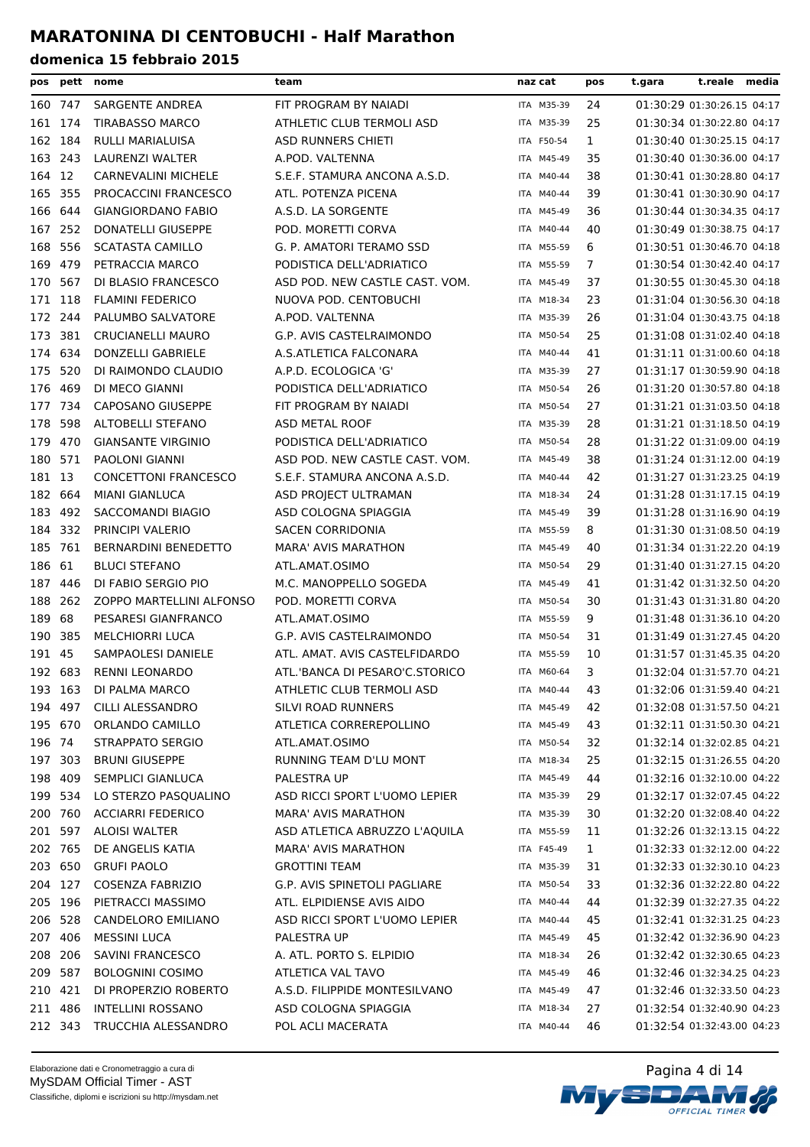| pos     | pett    | nome                        | team                           | naz cat    | pos          | t.reale<br>t.gara          | media |
|---------|---------|-----------------------------|--------------------------------|------------|--------------|----------------------------|-------|
|         | 160 747 | SARGENTE ANDREA             | FIT PROGRAM BY NAIADI          | ITA M35-39 | 24           | 01:30:29 01:30:26.15 04:17 |       |
| 161 174 |         | <b>TIRABASSO MARCO</b>      | ATHLETIC CLUB TERMOLI ASD      | ITA M35-39 | 25           | 01:30:34 01:30:22.80 04:17 |       |
| 162     | 184     | RULLI MARIALUISA            | <b>ASD RUNNERS CHIETI</b>      | ITA F50-54 | 1            | 01:30:40 01:30:25.15 04:17 |       |
| 163 243 |         | LAURENZI WALTER             | A.POD. VALTENNA                | ITA M45-49 | 35           | 01:30:40 01:30:36.00 04:17 |       |
| 164 12  |         | <b>CARNEVALINI MICHELE</b>  | S.E.F. STAMURA ANCONA A.S.D.   | ITA M40-44 | 38           | 01:30:41 01:30:28.80 04:17 |       |
| 165 355 |         | PROCACCINI FRANCESCO        | ATL. POTENZA PICENA            | ITA M40-44 | 39           | 01:30:41 01:30:30.90 04:17 |       |
|         | 166 644 | <b>GIANGIORDANO FABIO</b>   | A.S.D. LA SORGENTE             | ITA M45-49 | 36           | 01:30:44 01:30:34.35 04:17 |       |
| 167 252 |         | <b>DONATELLI GIUSEPPE</b>   | POD. MORETTI CORVA             | ITA M40-44 | 40           | 01:30:49 01:30:38.75 04:17 |       |
| 168     | 556     | <b>SCATASTA CAMILLO</b>     | G. P. AMATORI TERAMO SSD       | ITA M55-59 | 6            | 01:30:51 01:30:46.70 04:18 |       |
| 169 479 |         | PETRACCIA MARCO             | PODISTICA DELL'ADRIATICO       | ITA M55-59 | 7            | 01:30:54 01:30:42.40 04:17 |       |
| 170     | 567     | DI BLASIO FRANCESCO         | ASD POD. NEW CASTLE CAST. VOM. | ITA M45-49 | 37           | 01:30:55 01:30:45.30 04:18 |       |
| 171 118 |         | <b>FLAMINI FEDERICO</b>     | NUOVA POD. CENTOBUCHI          | ITA M18-34 | 23           | 01:31:04 01:30:56.30 04:18 |       |
| 172 244 |         | PALUMBO SALVATORE           | A.POD. VALTENNA                | ITA M35-39 | 26           | 01:31:04 01:30:43.75 04:18 |       |
| 173     | 381     | <b>CRUCIANELLI MAURO</b>    | G.P. AVIS CASTELRAIMONDO       | ITA M50-54 | 25           | 01:31:08 01:31:02.40 04:18 |       |
| 174     | 634     | DONZELLI GABRIELE           | A.S.ATLETICA FALCONARA         | ITA M40-44 | 41           | 01:31:11 01:31:00.60 04:18 |       |
| 175     | 520     | DI RAIMONDO CLAUDIO         | A.P.D. ECOLOGICA 'G'           | ITA M35-39 | 27           | 01:31:17 01:30:59.90 04:18 |       |
| 176     | 469     | DI MECO GIANNI              | PODISTICA DELL'ADRIATICO       | ITA M50-54 | 26           | 01:31:20 01:30:57.80 04:18 |       |
| 177 734 |         | CAPOSANO GIUSEPPE           | FIT PROGRAM BY NAIADI          | ITA M50-54 | 27           | 01:31:21 01:31:03.50 04:18 |       |
| 178     | 598     | ALTOBELLI STEFANO           | ASD METAL ROOF                 | ITA M35-39 | 28           | 01:31:21 01:31:18.50 04:19 |       |
| 179     | 470     | <b>GIANSANTE VIRGINIO</b>   | PODISTICA DELL'ADRIATICO       | ITA M50-54 | 28           | 01:31:22 01:31:09.00 04:19 |       |
| 180     | 571     | <b>PAOLONI GIANNI</b>       | ASD POD. NEW CASTLE CAST. VOM. | ITA M45-49 | 38           | 01:31:24 01:31:12.00 04:19 |       |
| 181 13  |         | <b>CONCETTONI FRANCESCO</b> | S.E.F. STAMURA ANCONA A.S.D.   | ITA M40-44 | 42           | 01:31:27 01:31:23.25 04:19 |       |
| 182 664 |         | <b>MIANI GIANLUCA</b>       | ASD PROJECT ULTRAMAN           | ITA M18-34 | 24           | 01:31:28 01:31:17.15 04:19 |       |
| 183 492 |         | SACCOMANDI BIAGIO           | ASD COLOGNA SPIAGGIA           | ITA M45-49 | 39           | 01:31:28 01:31:16.90 04:19 |       |
| 184 332 |         | PRINCIPI VALERIO            | <b>SACEN CORRIDONIA</b>        | ITA M55-59 | 8            | 01:31:30 01:31:08.50 04:19 |       |
| 185 761 |         | <b>BERNARDINI BENEDETTO</b> | <b>MARA' AVIS MARATHON</b>     | ITA M45-49 | 40           | 01:31:34 01:31:22.20 04:19 |       |
| 186 61  |         | <b>BLUCI STEFANO</b>        | ATL.AMAT.OSIMO                 | ITA M50-54 | 29           | 01:31:40 01:31:27.15 04:20 |       |
| 187     | 446     | DI FABIO SERGIO PIO         | M.C. MANOPPELLO SOGEDA         | ITA M45-49 | 41           | 01:31:42 01:31:32.50 04:20 |       |
| 188     | 262     | ZOPPO MARTELLINI ALFONSO    | POD. MORETTI CORVA             | ITA M50-54 | 30           | 01:31:43 01:31:31.80 04:20 |       |
| 189 68  |         | PESARESI GIANFRANCO         | ATL.AMAT.OSIMO                 | ITA M55-59 | 9            | 01:31:48 01:31:36.10 04:20 |       |
| 190     | 385     | <b>MELCHIORRI LUCA</b>      | G.P. AVIS CASTELRAIMONDO       | ITA M50-54 | 31           | 01:31:49 01:31:27.45 04:20 |       |
| 191 45  |         | SAMPAOLESI DANIELE          | ATL. AMAT. AVIS CASTELFIDARDO  | ITA M55-59 | 10           | 01:31:57 01:31:45.35 04:20 |       |
|         | 192 683 | <b>RENNI LEONARDO</b>       | ATL.'BANCA DI PESARO'C.STORICO | ITA M60-64 | 3            | 01:32:04 01:31:57.70 04:21 |       |
|         | 193 163 | DI PALMA MARCO              | ATHLETIC CLUB TERMOLI ASD      | ITA M40-44 | 43           | 01:32:06 01:31:59.40 04:21 |       |
|         | 194 497 | CILLI ALESSANDRO            | SILVI ROAD RUNNERS             | ITA M45-49 | 42           | 01:32:08 01:31:57.50 04:21 |       |
|         | 195 670 | ORLANDO CAMILLO             | ATLETICA CORREREPOLLINO        | ITA M45-49 | 43           | 01:32:11 01:31:50.30 04:21 |       |
| 196 74  |         | <b>STRAPPATO SERGIO</b>     | ATL.AMAT.OSIMO                 | ITA M50-54 | 32           | 01:32:14 01:32:02.85 04:21 |       |
|         | 197 303 | <b>BRUNI GIUSEPPE</b>       | RUNNING TEAM D'LU MONT         | ITA M18-34 | 25           | 01:32:15 01:31:26.55 04:20 |       |
|         | 198 409 | SEMPLICI GIANLUCA           | PALESTRA UP                    | ITA M45-49 | 44           | 01:32:16 01:32:10.00 04:22 |       |
|         | 199 534 | LO STERZO PASQUALINO        | ASD RICCI SPORT L'UOMO LEPIER  | ITA M35-39 | 29           | 01:32:17 01:32:07.45 04:22 |       |
|         | 200 760 | <b>ACCIARRI FEDERICO</b>    | <b>MARA' AVIS MARATHON</b>     | ITA M35-39 | 30           | 01:32:20 01:32:08.40 04:22 |       |
|         | 201 597 | <b>ALOISI WALTER</b>        | ASD ATLETICA ABRUZZO L'AQUILA  | ITA M55-59 | 11           | 01:32:26 01:32:13.15 04:22 |       |
|         | 202 765 | DE ANGELIS KATIA            | <b>MARA' AVIS MARATHON</b>     | ITA F45-49 | $\mathbf{1}$ | 01:32:33 01:32:12.00 04:22 |       |
|         | 203 650 | <b>GRUFI PAOLO</b>          | <b>GROTTINI TEAM</b>           | ITA M35-39 | 31           | 01:32:33 01:32:30.10 04:23 |       |
|         | 204 127 | <b>COSENZA FABRIZIO</b>     | G.P. AVIS SPINETOLI PAGLIARE   | ITA M50-54 | 33           | 01:32:36 01:32:22.80 04:22 |       |
|         | 205 196 | PIETRACCI MASSIMO           | ATL. ELPIDIENSE AVIS AIDO      | ITA M40-44 | 44           | 01:32:39 01:32:27.35 04:22 |       |
|         | 206 528 | <b>CANDELORO EMILIANO</b>   | ASD RICCI SPORT L'UOMO LEPIER  | ITA M40-44 | 45           | 01:32:41 01:32:31.25 04:23 |       |
|         | 207 406 | <b>MESSINI LUCA</b>         | PALESTRA UP                    | ITA M45-49 | 45           | 01:32:42 01:32:36.90 04:23 |       |
|         | 208 206 | SAVINI FRANCESCO            | A. ATL. PORTO S. ELPIDIO       | ITA M18-34 | 26           | 01:32:42 01:32:30.65 04:23 |       |
|         | 209 587 | <b>BOLOGNINI COSIMO</b>     | ATLETICA VAL TAVO              | ITA M45-49 | 46           | 01:32:46 01:32:34.25 04:23 |       |
|         | 210 421 | DI PROPERZIO ROBERTO        | A.S.D. FILIPPIDE MONTESILVANO  | ITA M45-49 | 47           | 01:32:46 01:32:33.50 04:23 |       |
|         | 211 486 | <b>INTELLINI ROSSANO</b>    | ASD COLOGNA SPIAGGIA           | ITA M18-34 | 27           | 01:32:54 01:32:40.90 04:23 |       |
|         | 212 343 | TRUCCHIA ALESSANDRO         | POL ACLI MACERATA              | ITA M40-44 | 46           | 01:32:54 01:32:43.00 04:23 |       |

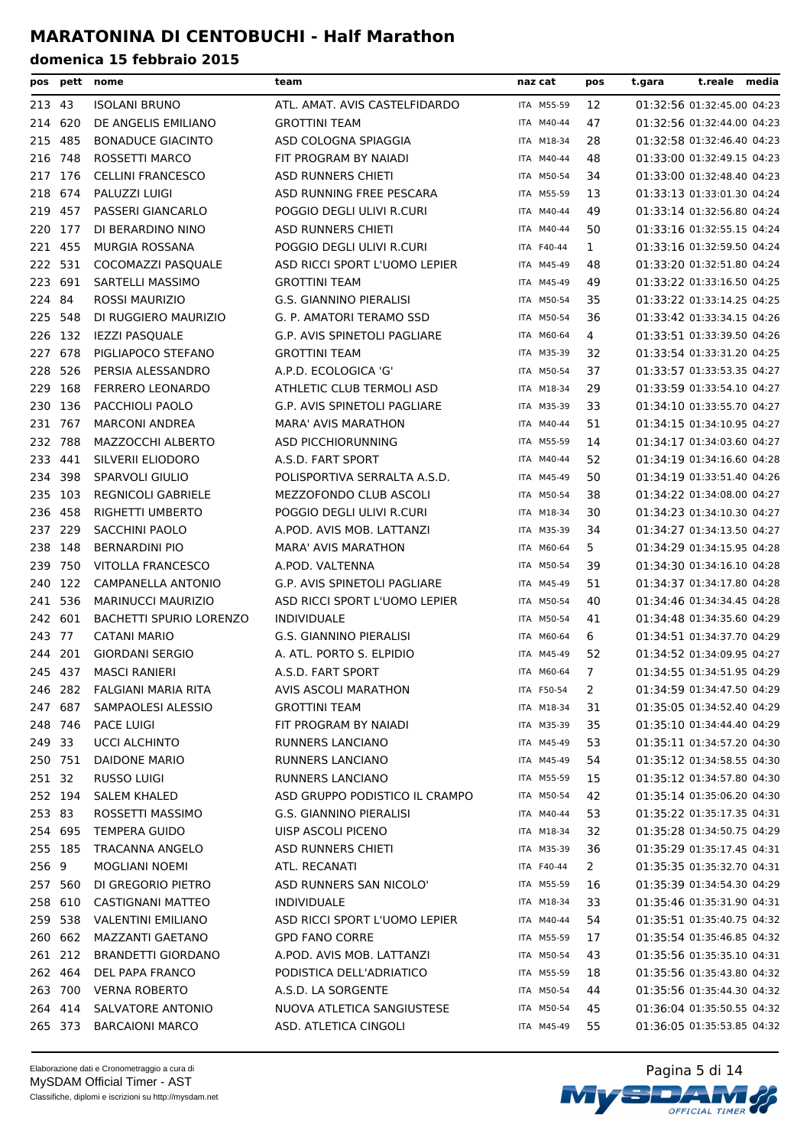| pos     | pett    | nome                           | team                                | naz cat    | pos          | t.reale media<br>t.gara    |  |
|---------|---------|--------------------------------|-------------------------------------|------------|--------------|----------------------------|--|
| 213 43  |         | <b>ISOLANI BRUNO</b>           | ATL. AMAT. AVIS CASTELFIDARDO       | ITA M55-59 | 12           | 01:32:56 01:32:45.00 04:23 |  |
| 214     | 620     | DE ANGELIS EMILIANO            | <b>GROTTINI TEAM</b>                | ITA M40-44 | 47           | 01:32:56 01:32:44.00 04:23 |  |
| 215     | 485     | <b>BONADUCE GIACINTO</b>       | ASD COLOGNA SPIAGGIA                | ITA M18-34 | 28           | 01:32:58 01:32:46.40 04:23 |  |
| 216     | 748     | ROSSETTI MARCO                 | FIT PROGRAM BY NAIADI               | ITA M40-44 | 48           | 01:33:00 01:32:49.15 04:23 |  |
| 217     | 176     | <b>CELLINI FRANCESCO</b>       | ASD RUNNERS CHIETI                  | ITA M50-54 | 34           | 01:33:00 01:32:48.40 04:23 |  |
| 218     | 674     | PALUZZI LUIGI                  | ASD RUNNING FREE PESCARA            | ITA M55-59 | 13           | 01:33:13 01:33:01.30 04:24 |  |
| 219     | 457     | PASSERI GIANCARLO              | POGGIO DEGLI ULIVI R.CURI           | ITA M40-44 | 49           | 01:33:14 01:32:56.80 04:24 |  |
| 220     | 177     | DI BERARDINO NINO              | <b>ASD RUNNERS CHIETI</b>           | ITA M40-44 | 50           | 01:33:16 01:32:55.15 04:24 |  |
| 221     | 455     | <b>MURGIA ROSSANA</b>          | POGGIO DEGLI ULIVI R.CURI           | ITA F40-44 | $\mathbf{1}$ | 01:33:16 01:32:59.50 04:24 |  |
| 222     | 531     | COCOMAZZI PASQUALE             | ASD RICCI SPORT L'UOMO LEPIER       | ITA M45-49 | 48           | 01:33:20 01:32:51.80 04:24 |  |
| 223     | 691     | SARTELLI MASSIMO               | <b>GROTTINI TEAM</b>                | ITA M45-49 | 49           | 01:33:22 01:33:16.50 04:25 |  |
| 224 84  |         | <b>ROSSI MAURIZIO</b>          | G.S. GIANNINO PIERALISI             | ITA M50-54 | 35           | 01:33:22 01:33:14.25 04:25 |  |
|         | 225 548 | DI RUGGIERO MAURIZIO           | G. P. AMATORI TERAMO SSD            | ITA M50-54 | 36           | 01:33:42 01:33:34.15 04:26 |  |
|         | 226 132 | <b>IEZZI PASQUALE</b>          | G.P. AVIS SPINETOLI PAGLIARE        | ITA M60-64 | 4            | 01:33:51 01:33:39.50 04:26 |  |
| 227     | 678     | PIGLIAPOCO STEFANO             | <b>GROTTINI TEAM</b>                | ITA M35-39 | 32           | 01:33:54 01:33:31.20 04:25 |  |
| 228     | 526     | PERSIA ALESSANDRO              | A.P.D. ECOLOGICA 'G'                | ITA M50-54 | 37           | 01:33:57 01:33:53.35 04:27 |  |
| 229     | 168     | <b>FERRERO LEONARDO</b>        | ATHLETIC CLUB TERMOLI ASD           | ITA M18-34 | 29           | 01:33:59 01:33:54.10 04:27 |  |
|         | 230 136 | PACCHIOLI PAOLO                | <b>G.P. AVIS SPINETOLI PAGLIARE</b> | ITA M35-39 | 33           | 01:34:10 01:33:55.70 04:27 |  |
| 231 767 |         | <b>MARCONI ANDREA</b>          | <b>MARA' AVIS MARATHON</b>          | ITA M40-44 | 51           | 01:34:15 01:34:10.95 04:27 |  |
| 232     | 788     | MAZZOCCHI ALBERTO              | <b>ASD PICCHIORUNNING</b>           | ITA M55-59 | 14           | 01:34:17 01:34:03.60 04:27 |  |
| 233     | 441     | SILVERII ELIODORO              | A.S.D. FART SPORT                   | ITA M40-44 | 52           | 01:34:19 01:34:16.60 04:28 |  |
| 234     | 398     | <b>SPARVOLI GIULIO</b>         | POLISPORTIVA SERRALTA A.S.D.        | ITA M45-49 | 50           | 01:34:19 01:33:51.40 04:26 |  |
| 235     | 103     | <b>REGNICOLI GABRIELE</b>      | MEZZOFONDO CLUB ASCOLI              | ITA M50-54 | 38           | 01:34:22 01:34:08.00 04:27 |  |
| 236 458 |         | RIGHETTI UMBERTO               | POGGIO DEGLI ULIVI R.CURI           | ITA M18-34 | 30           | 01:34:23 01:34:10.30 04:27 |  |
|         | 237 229 | SACCHINI PAOLO                 | A.POD. AVIS MOB. LATTANZI           | ITA M35-39 | 34           | 01:34:27 01:34:13.50 04:27 |  |
|         | 238 148 | <b>BERNARDINI PIO</b>          | <b>MARA' AVIS MARATHON</b>          | ITA M60-64 | 5            | 01:34:29 01:34:15.95 04:28 |  |
| 239     | 750     | <b>VITOLLA FRANCESCO</b>       | A.POD. VALTENNA                     | ITA M50-54 | 39           | 01:34:30 01:34:16.10 04:28 |  |
| 240     | 122     | CAMPANELLA ANTONIO             | G.P. AVIS SPINETOLI PAGLIARE        | ITA M45-49 | 51           | 01:34:37 01:34:17.80 04:28 |  |
| 241     | 536     | <b>MARINUCCI MAURIZIO</b>      | ASD RICCI SPORT L'UOMO LEPIER       | ITA M50-54 | 40           | 01:34:46 01:34:34.45 04:28 |  |
| 242     | 601     | <b>BACHETTI SPURIO LORENZO</b> | <b>INDIVIDUALE</b>                  | ITA M50-54 | 41           | 01:34:48 01:34:35.60 04:29 |  |
| 243 77  |         | <b>CATANI MARIO</b>            | G.S. GIANNINO PIERALISI             | ITA M60-64 | 6            | 01:34:51 01:34:37.70 04:29 |  |
| 244     | 201     | <b>GIORDANI SERGIO</b>         | A. ATL. PORTO S. ELPIDIO            | ITA M45-49 | 52           | 01:34:52 01:34:09.95 04:27 |  |
| 245 437 |         | <b>MASCI RANIERI</b>           | A.S.D. FART SPORT                   | ITA M60-64 | 7            | 01:34:55 01:34:51.95 04:29 |  |
|         | 246 282 | FALGIANI MARIA RITA            | AVIS ASCOLI MARATHON                | ITA F50-54 | 2            | 01:34:59 01:34:47.50 04:29 |  |
|         | 247 687 | SAMPAOLESI ALESSIO             | <b>GROTTINI TEAM</b>                | ITA M18-34 | 31           | 01:35:05 01:34:52.40 04:29 |  |
|         | 248 746 | <b>PACE LUIGI</b>              | FIT PROGRAM BY NAIADI               | ITA M35-39 | 35           | 01:35:10 01:34:44.40 04:29 |  |
| 249 33  |         | <b>UCCI ALCHINTO</b>           | RUNNERS LANCIANO                    | ITA M45-49 | 53           | 01:35:11 01:34:57.20 04:30 |  |
| 250 751 |         | DAIDONE MARIO                  | RUNNERS LANCIANO                    | ITA M45-49 | 54           | 01:35:12 01:34:58.55 04:30 |  |
| 251 32  |         | <b>RUSSO LUIGI</b>             | <b>RUNNERS LANCIANO</b>             | ITA M55-59 | 15           | 01:35:12 01:34:57.80 04:30 |  |
|         | 252 194 | <b>SALEM KHALED</b>            | ASD GRUPPO PODISTICO IL CRAMPO      | ITA M50-54 | 42           | 01:35:14 01:35:06.20 04:30 |  |
| 253 83  |         | ROSSETTI MASSIMO               | G.S. GIANNINO PIERALISI             | ITA M40-44 | 53           | 01:35:22 01:35:17.35 04:31 |  |
| 254 695 |         | <b>TEMPERA GUIDO</b>           | UISP ASCOLI PICENO                  | ITA M18-34 | 32           | 01:35:28 01:34:50.75 04:29 |  |
| 255 185 |         | TRACANNA ANGELO                | ASD RUNNERS CHIETI                  | ITA M35-39 | 36           | 01:35:29 01:35:17.45 04:31 |  |
| 256 9   |         | <b>MOGLIANI NOEMI</b>          | ATL. RECANATI                       | ITA F40-44 | 2            | 01:35:35 01:35:32.70 04:31 |  |
|         | 257 560 | DI GREGORIO PIETRO             | ASD RUNNERS SAN NICOLO'             | ITA M55-59 | 16           | 01:35:39 01:34:54.30 04:29 |  |
| 258 610 |         | CASTIGNANI MATTEO              | <b>INDIVIDUALE</b>                  | ITA M18-34 | 33           | 01:35:46 01:35:31.90 04:31 |  |
|         | 259 538 | <b>VALENTINI EMILIANO</b>      | ASD RICCI SPORT L'UOMO LEPIER       | ITA M40-44 | 54           | 01:35:51 01:35:40.75 04:32 |  |
|         | 260 662 | MAZZANTI GAETANO               | <b>GPD FANO CORRE</b>               | ITA M55-59 | 17           | 01:35:54 01:35:46.85 04:32 |  |
|         | 261 212 | <b>BRANDETTI GIORDANO</b>      | A.POD. AVIS MOB. LATTANZI           | ITA M50-54 | 43           | 01:35:56 01:35:35.10 04:31 |  |
|         | 262 464 | DEL PAPA FRANCO                | PODISTICA DELL'ADRIATICO            | ITA M55-59 | 18           | 01:35:56 01:35:43.80 04:32 |  |
|         | 263 700 | <b>VERNA ROBERTO</b>           | A.S.D. LA SORGENTE                  | ITA M50-54 | 44           | 01:35:56 01:35:44.30 04:32 |  |
|         | 264 414 | SALVATORE ANTONIO              | NUOVA ATLETICA SANGIUSTESE          | ITA M50-54 | 45           | 01:36:04 01:35:50.55 04:32 |  |
|         | 265 373 | <b>BARCAIONI MARCO</b>         | ASD. ATLETICA CINGOLI               | ITA M45-49 | 55           | 01:36:05 01:35:53.85 04:32 |  |



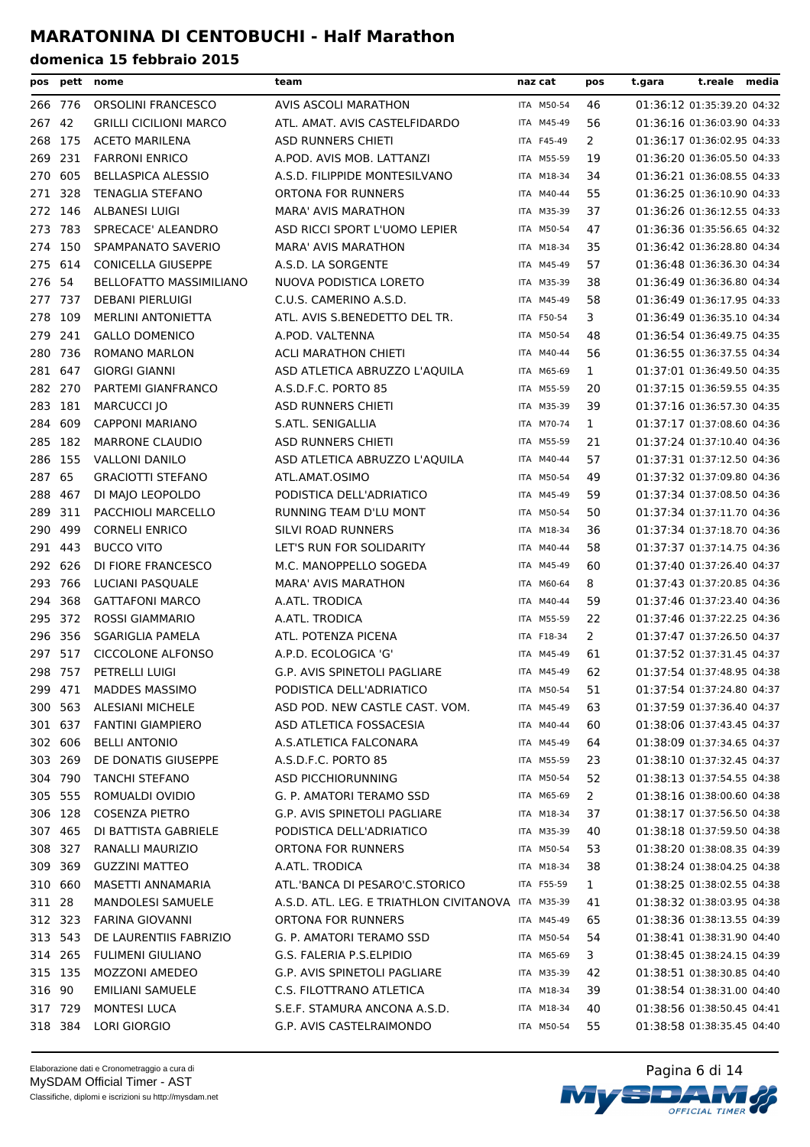| pos     | pett    | nome                           | team                                               | naz cat    | pos            | t.gara | t.reale                    | media |
|---------|---------|--------------------------------|----------------------------------------------------|------------|----------------|--------|----------------------------|-------|
| 266 776 |         | ORSOLINI FRANCESCO             | AVIS ASCOLI MARATHON                               | ITA M50-54 | 46             |        | 01:36:12 01:35:39.20 04:32 |       |
| 267     | 42      | <b>GRILLI CICILIONI MARCO</b>  | ATL. AMAT. AVIS CASTELFIDARDO                      | ITA M45-49 | 56             |        | 01:36:16 01:36:03.90 04:33 |       |
| 268     | 175     | <b>ACETO MARILENA</b>          | ASD RUNNERS CHIETI                                 | ITA F45-49 | 2              |        | 01:36:17 01:36:02.95 04:33 |       |
| 269     | 231     | <b>FARRONI ENRICO</b>          | A.POD. AVIS MOB. LATTANZI                          | ITA M55-59 | 19             |        | 01:36:20 01:36:05.50 04:33 |       |
| 270     | 605     | <b>BELLASPICA ALESSIO</b>      | A.S.D. FILIPPIDE MONTESILVANO                      | ITA M18-34 | 34             |        | 01:36:21 01:36:08.55 04:33 |       |
| 271     | 328     | <b>TENAGLIA STEFANO</b>        | ORTONA FOR RUNNERS                                 | ITA M40-44 | 55             |        | 01:36:25 01:36:10.90 04:33 |       |
| 272 146 |         | <b>ALBANESI LUIGI</b>          | <b>MARA' AVIS MARATHON</b>                         | ITA M35-39 | 37             |        | 01:36:26 01:36:12.55 04:33 |       |
| 273     | 783     | SPRECACE' ALEANDRO             | ASD RICCI SPORT L'UOMO LEPIER                      | ITA M50-54 | 47             |        | 01:36:36 01:35:56.65 04:32 |       |
| 274     | 150     | SPAMPANATO SAVERIO             | <b>MARA' AVIS MARATHON</b>                         | ITA M18-34 | 35             |        | 01:36:42 01:36:28.80 04:34 |       |
| 275     | 614     | <b>CONICELLA GIUSEPPE</b>      | A.S.D. LA SORGENTE                                 | ITA M45-49 | 57             |        | 01:36:48 01:36:36.30 04:34 |       |
| 276     | 54      | <b>BELLOFATTO MASSIMILIANO</b> | NUOVA PODISTICA LORETO                             | ITA M35-39 | 38             |        | 01:36:49 01:36:36.80 04:34 |       |
| 277 737 |         | <b>DEBANI PIERLUIGI</b>        | C.U.S. CAMERINO A.S.D.                             | ITA M45-49 | 58             |        | 01:36:49 01:36:17.95 04:33 |       |
| 278 109 |         | <b>MERLINI ANTONIETTA</b>      | ATL. AVIS S.BENEDETTO DEL TR.                      | ITA F50-54 | 3              |        | 01:36:49 01:36:35.10 04:34 |       |
| 279     | 241     | <b>GALLO DOMENICO</b>          | A.POD. VALTENNA                                    | ITA M50-54 | 48             |        | 01:36:54 01:36:49.75 04:35 |       |
| 280     | 736     | ROMANO MARLON                  | <b>ACLI MARATHON CHIETI</b>                        | ITA M40-44 | 56             |        | 01:36:55 01:36:37.55 04:34 |       |
| 281     | 647     | <b>GIORGI GIANNI</b>           | ASD ATLETICA ABRUZZO L'AQUILA                      | ITA M65-69 | $\mathbf{1}$   |        | 01:37:01 01:36:49.50 04:35 |       |
| 282     | 270     | PARTEMI GIANFRANCO             | A.S.D.F.C. PORTO 85                                | ITA M55-59 | 20             |        | 01:37:15 01:36:59.55 04:35 |       |
| 283 181 |         | <b>MARCUCCI IO</b>             | <b>ASD RUNNERS CHIETI</b>                          | ITA M35-39 | 39             |        | 01:37:16 01:36:57.30 04:35 |       |
| 284     | 609     | <b>CAPPONI MARIANO</b>         | S.ATL. SENIGALLIA                                  | ITA M70-74 | $\mathbf{1}$   |        | 01:37:17 01:37:08.60 04:36 |       |
| 285     | 182     | <b>MARRONE CLAUDIO</b>         | <b>ASD RUNNERS CHIETI</b>                          | ITA M55-59 | 21             |        | 01:37:24 01:37:10.40 04:36 |       |
| 286 155 |         | <b>VALLONI DANILO</b>          | ASD ATLETICA ABRUZZO L'AQUILA                      | ITA M40-44 | 57             |        | 01:37:31 01:37:12.50 04:36 |       |
| 287     | 65      | <b>GRACIOTTI STEFANO</b>       | ATL.AMAT.OSIMO                                     | ITA M50-54 | 49             |        | 01:37:32 01:37:09.80 04:36 |       |
| 288     | 467     | DI MAJO LEOPOLDO               | PODISTICA DELL'ADRIATICO                           | ITA M45-49 | 59             |        | 01:37:34 01:37:08.50 04:36 |       |
| 289     | 311     | PACCHIOLI MARCELLO             | RUNNING TEAM D'LU MONT                             | ITA M50-54 | 50             |        | 01:37:34 01:37:11.70 04:36 |       |
| 290     | 499     | <b>CORNELI ENRICO</b>          | SILVI ROAD RUNNERS                                 | ITA M18-34 | 36             |        | 01:37:34 01:37:18.70 04:36 |       |
| 291     | 443     | <b>BUCCO VITO</b>              | LET'S RUN FOR SOLIDARITY                           | ITA M40-44 | 58             |        | 01:37:37 01:37:14.75 04:36 |       |
| 292     | 626     | DI FIORE FRANCESCO             | M.C. MANOPPELLO SOGEDA                             | ITA M45-49 | 60             |        | 01:37:40 01:37:26.40 04:37 |       |
| 293     | 766     | LUCIANI PASQUALE               | <b>MARA' AVIS MARATHON</b>                         | ITA M60-64 | 8              |        | 01:37:43 01:37:20.85 04:36 |       |
| 294     | 368     | <b>GATTAFONI MARCO</b>         | A.ATL. TRODICA                                     | ITA M40-44 | 59             |        | 01:37:46 01:37:23.40 04:36 |       |
| 295 372 |         | <b>ROSSI GIAMMARIO</b>         | A.ATL. TRODICA                                     | ITA M55-59 | 22             |        | 01:37:46 01:37:22.25 04:36 |       |
| 296     | 356     | <b>SGARIGLIA PAMELA</b>        | ATL. POTENZA PICENA                                | ITA F18-34 | 2              |        | 01:37:47 01:37:26.50 04:37 |       |
| 297     | 517     | <b>CICCOLONE ALFONSO</b>       | A.P.D. ECOLOGICA 'G'                               | ITA M45-49 | 61             |        | 01:37:52 01:37:31.45 04:37 |       |
| 298 757 |         | <b>PETRELLI LUIGI</b>          | G.P. AVIS SPINETOLI PAGLIARE                       | ITA M45-49 | 62             |        | 01:37:54 01:37:48.95 04:38 |       |
|         | 299 471 | MADDES MASSIMO                 | PODISTICA DELL'ADRIATICO                           | ITA M50-54 | 51             |        | 01:37:54 01:37:24.80 04:37 |       |
|         | 300 563 | <b>ALESIANI MICHELE</b>        | ASD POD. NEW CASTLE CAST. VOM.                     | ITA M45-49 | 63             |        | 01:37:59 01:37:36.40 04:37 |       |
|         | 301 637 | <b>FANTINI GIAMPIERO</b>       | ASD ATLETICA FOSSACESIA                            | ITA M40-44 | 60             |        | 01:38:06 01:37:43.45 04:37 |       |
|         | 302 606 | <b>BELLI ANTONIO</b>           | A.S.ATLETICA FALCONARA                             | ITA M45-49 | 64             |        | 01:38:09 01:37:34.65 04:37 |       |
|         | 303 269 | DE DONATIS GIUSEPPE            | A.S.D.F.C. PORTO 85                                | ITA M55-59 | 23             |        | 01:38:10 01:37:32.45 04:37 |       |
|         | 304 790 | <b>TANCHI STEFANO</b>          | ASD PICCHIORUNNING                                 | ITA M50-54 | 52             |        | 01:38:13 01:37:54.55 04:38 |       |
| 305 555 |         | ROMUALDI OVIDIO                | G. P. AMATORI TERAMO SSD                           | ITA M65-69 | $\overline{2}$ |        | 01:38:16 01:38:00.60 04:38 |       |
|         | 306 128 | <b>COSENZA PIETRO</b>          | G.P. AVIS SPINETOLI PAGLIARE                       | ITA M18-34 | 37             |        | 01:38:17 01:37:56.50 04:38 |       |
|         | 307 465 | DI BATTISTA GABRIELE           | PODISTICA DELL'ADRIATICO                           | ITA M35-39 | 40             |        | 01:38:18 01:37:59.50 04:38 |       |
|         | 308 327 | RANALLI MAURIZIO               | ORTONA FOR RUNNERS                                 | ITA M50-54 | 53             |        | 01:38:20 01:38:08.35 04:39 |       |
|         | 309 369 | <b>GUZZINI MATTEO</b>          | A.ATL. TRODICA                                     | ITA M18-34 | 38             |        | 01:38:24 01:38:04.25 04:38 |       |
|         | 310 660 | MASETTI ANNAMARIA              | ATL.'BANCA DI PESARO'C.STORICO                     | ITA F55-59 | $\mathbf{1}$   |        | 01:38:25 01:38:02.55 04:38 |       |
| 311 28  |         | <b>MANDOLESI SAMUELE</b>       | A.S.D. ATL. LEG. E TRIATHLON CIVITANOVA ITA M35-39 |            | 41             |        | 01:38:32 01:38:03.95 04:38 |       |
| 312 323 |         | FARINA GIOVANNI                | ORTONA FOR RUNNERS                                 | ITA M45-49 | 65             |        | 01:38:36 01:38:13.55 04:39 |       |
| 313 543 |         | DE LAURENTIIS FABRIZIO         | G. P. AMATORI TERAMO SSD                           | ITA M50-54 | 54             |        | 01:38:41 01:38:31.90 04:40 |       |
| 314 265 |         | <b>FULIMENI GIULIANO</b>       | G.S. FALERIA P.S.ELPIDIO                           | ITA M65-69 | 3              |        | 01:38:45 01:38:24.15 04:39 |       |
| 315 135 |         | MOZZONI AMEDEO                 | G.P. AVIS SPINETOLI PAGLIARE                       | ITA M35-39 | 42             |        | 01:38:51 01:38:30.85 04:40 |       |
| 316 90  |         | <b>EMILIANI SAMUELE</b>        | C.S. FILOTTRANO ATLETICA                           | ITA M18-34 | 39             |        | 01:38:54 01:38:31.00 04:40 |       |
| 317 729 |         | <b>MONTESI LUCA</b>            | S.E.F. STAMURA ANCONA A.S.D.                       | ITA M18-34 | 40             |        | 01:38:56 01:38:50.45 04:41 |       |
|         | 318 384 | LORI GIORGIO                   | G.P. AVIS CASTELRAIMONDO                           | ITA M50-54 | 55             |        | 01:38:58 01:38:35.45 04:40 |       |

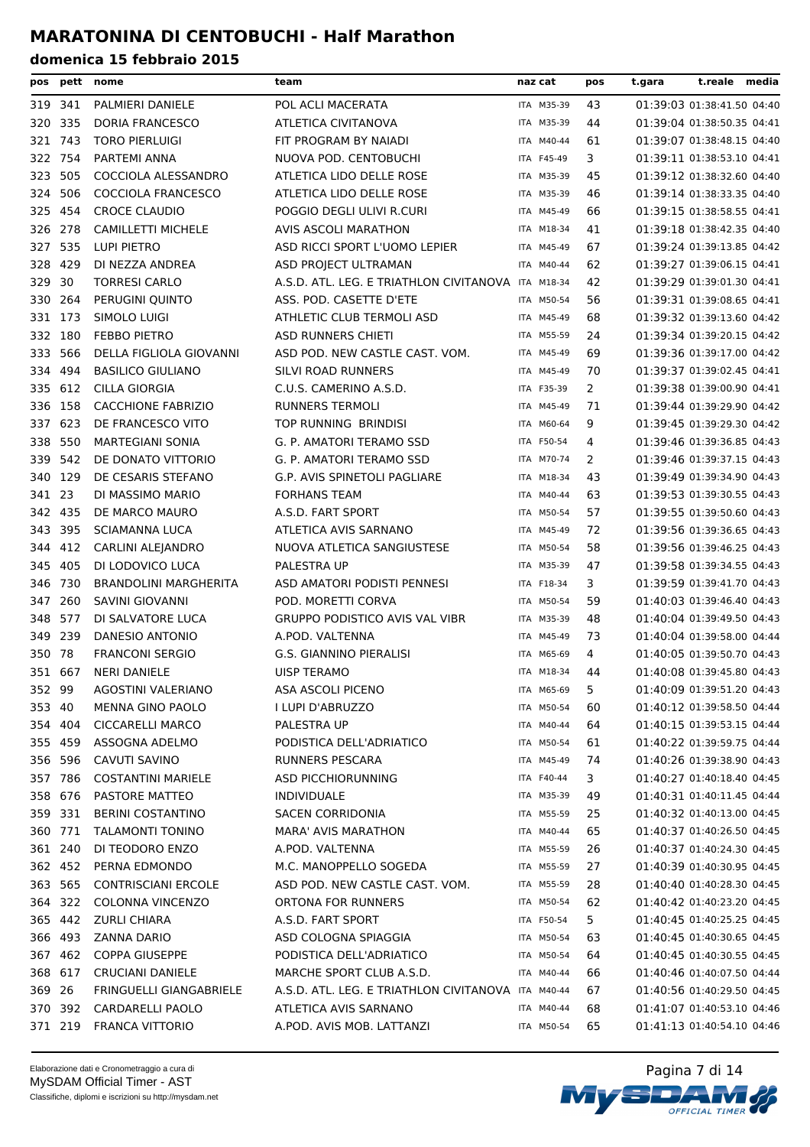| pos     |         | pett nome                    | team                                               | naz cat    | pos | t.gara                     | t.reale media |  |
|---------|---------|------------------------------|----------------------------------------------------|------------|-----|----------------------------|---------------|--|
| 319 341 |         | PALMIERI DANIELE             | POL ACLI MACERATA                                  | ITA M35-39 | 43  | 01:39:03 01:38:41.50 04:40 |               |  |
| 320     | 335     | DORIA FRANCESCO              | ATLETICA CIVITANOVA                                | ITA M35-39 | 44  | 01:39:04 01:38:50.35 04:41 |               |  |
| 321 743 |         | <b>TORO PIERLUIGI</b>        | FIT PROGRAM BY NAIADI                              | ITA M40-44 | 61  | 01:39:07 01:38:48.15 04:40 |               |  |
| 322 754 |         | PARTEMI ANNA                 | NUOVA POD. CENTOBUCHI                              | ITA F45-49 | 3   | 01:39:11 01:38:53.10 04:41 |               |  |
| 323 505 |         | COCCIOLA ALESSANDRO          | ATLETICA LIDO DELLE ROSE                           | ITA M35-39 | 45  | 01:39:12 01:38:32.60 04:40 |               |  |
| 324     | 506     | COCCIOLA FRANCESCO           | ATLETICA LIDO DELLE ROSE                           | ITA M35-39 | 46  | 01:39:14 01:38:33.35 04:40 |               |  |
| 325     | 454     | <b>CROCE CLAUDIO</b>         | POGGIO DEGLI ULIVI R.CURI                          | ITA M45-49 | 66  | 01:39:15 01:38:58.55 04:41 |               |  |
|         | 326 278 | <b>CAMILLETTI MICHELE</b>    | AVIS ASCOLI MARATHON                               | ITA M18-34 | 41  | 01:39:18 01:38:42.35 04:40 |               |  |
| 327     | 535     | LUPI PIETRO                  | ASD RICCI SPORT L'UOMO LEPIER                      | ITA M45-49 | 67  | 01:39:24 01:39:13.85 04:42 |               |  |
| 328 429 |         | DI NEZZA ANDREA              | ASD PROJECT ULTRAMAN                               | ITA M40-44 | 62  | 01:39:27 01:39:06.15 04:41 |               |  |
| 329 30  |         | <b>TORRESI CARLO</b>         | A.S.D. ATL. LEG. E TRIATHLON CIVITANOVA ITA M18-34 |            | 42  | 01:39:29 01:39:01.30 04:41 |               |  |
|         | 330 264 | PERUGINI QUINTO              | ASS. POD. CASETTE D'ETE                            | ITA M50-54 | 56  | 01:39:31 01:39:08.65 04:41 |               |  |
| 331     | 173     | SIMOLO LUIGI                 | ATHLETIC CLUB TERMOLI ASD                          | ITA M45-49 | 68  | 01:39:32 01:39:13.60 04:42 |               |  |
| 332 180 |         | <b>FEBBO PIETRO</b>          | <b>ASD RUNNERS CHIETI</b>                          | ITA M55-59 | 24  | 01:39:34 01:39:20.15 04:42 |               |  |
| 333     | 566     | DELLA FIGLIOLA GIOVANNI      | ASD POD. NEW CASTLE CAST. VOM.                     | ITA M45-49 | 69  | 01:39:36 01:39:17.00 04:42 |               |  |
| 334     | 494     | <b>BASILICO GIULIANO</b>     | SILVI ROAD RUNNERS                                 | ITA M45-49 | 70  | 01:39:37 01:39:02.45 04:41 |               |  |
| 335 612 |         | CILLA GIORGIA                | C.U.S. CAMERINO A.S.D.                             | ITA F35-39 | 2   | 01:39:38 01:39:00.90 04:41 |               |  |
|         | 336 158 | <b>CACCHIONE FABRIZIO</b>    | <b>RUNNERS TERMOLI</b>                             | ITA M45-49 | 71  | 01:39:44 01:39:29.90 04:42 |               |  |
| 337     | 623     | DE FRANCESCO VITO            | TOP RUNNING BRINDISI                               | ITA M60-64 | 9   | 01:39:45 01:39:29.30 04:42 |               |  |
|         | 338 550 | <b>MARTEGIANI SONIA</b>      | G. P. AMATORI TERAMO SSD                           | ITA F50-54 | 4   | 01:39:46 01:39:36.85 04:43 |               |  |
|         | 339 542 | DE DONATO VITTORIO           | G. P. AMATORI TERAMO SSD                           | ITA M70-74 | 2   | 01:39:46 01:39:37.15 04:43 |               |  |
| 340 129 |         | DE CESARIS STEFANO           | G.P. AVIS SPINETOLI PAGLIARE                       | ITA M18-34 | 43  | 01:39:49 01:39:34.90 04:43 |               |  |
| 341 23  |         | DI MASSIMO MARIO             | <b>FORHANS TEAM</b>                                | ITA M40-44 | 63  | 01:39:53 01:39:30.55 04:43 |               |  |
|         | 342 435 | DE MARCO MAURO               | A.S.D. FART SPORT                                  | ITA M50-54 | 57  | 01:39:55 01:39:50.60 04:43 |               |  |
| 343     | 395     | <b>SCIAMANNA LUCA</b>        | ATLETICA AVIS SARNANO                              | ITA M45-49 | 72  | 01:39:56 01:39:36.65 04:43 |               |  |
| 344     | 412     | CARLINI ALEJANDRO            | NUOVA ATLETICA SANGIUSTESE                         | ITA M50-54 | 58  | 01:39:56 01:39:46.25 04:43 |               |  |
| 345     | 405     | DI LODOVICO LUCA             | PALESTRA UP                                        | ITA M35-39 | 47  | 01:39:58 01:39:34.55 04:43 |               |  |
| 346     | 730     | <b>BRANDOLINI MARGHERITA</b> | ASD AMATORI PODISTI PENNESI                        | ITA F18-34 | 3   | 01:39:59 01:39:41.70 04:43 |               |  |
| 347     | 260     | SAVINI GIOVANNI              | POD. MORETTI CORVA                                 | ITA M50-54 | 59  | 01:40:03 01:39:46.40 04:43 |               |  |
| 348 577 |         | DI SALVATORE LUCA            | <b>GRUPPO PODISTICO AVIS VAL VIBR</b>              | ITA M35-39 | 48  | 01:40:04 01:39:49.50 04:43 |               |  |
| 349 239 |         | DANESIO ANTONIO              | A.POD. VALTENNA                                    | ITA M45-49 | 73  | 01:40:04 01:39:58.00 04:44 |               |  |
| 350 78  |         | <b>FRANCONI SERGIO</b>       | <b>G.S. GIANNINO PIERALISI</b>                     | ITA M65-69 | 4   | 01:40:05 01:39:50.70 04:43 |               |  |
| 351 667 |         | <b>NERI DANIELE</b>          | UISP TERAMO                                        | ITA M18-34 | 44  | 01:40:08 01:39:45.80 04:43 |               |  |
| 352 99  |         | AGOSTINI VALERIANO           | ASA ASCOLI PICENO                                  | ITA M65-69 | 5   | 01:40:09 01:39:51.20 04:43 |               |  |
| 353 40  |         | MENNA GINO PAOLO             | I LUPI D'ABRUZZO                                   | ITA M50-54 | 60  | 01:40:12 01:39:58.50 04:44 |               |  |
|         | 354 404 | <b>CICCARELLI MARCO</b>      | PALESTRA UP                                        | ITA M40-44 | 64  | 01:40:15 01:39:53.15 04:44 |               |  |
|         | 355 459 | ASSOGNA ADELMO               | PODISTICA DELL'ADRIATICO                           | ITA M50-54 | 61  | 01:40:22 01:39:59.75 04:44 |               |  |
|         | 356 596 | CAVUTI SAVINO                | RUNNERS PESCARA                                    | ITA M45-49 | 74  | 01:40:26 01:39:38.90 04:43 |               |  |
|         | 357 786 | <b>COSTANTINI MARIELE</b>    | <b>ASD PICCHIORUNNING</b>                          | ITA F40-44 | 3   | 01:40:27 01:40:18.40 04:45 |               |  |
|         | 358 676 | PASTORE MATTEO               | <b>INDIVIDUALE</b>                                 | ITA M35-39 | 49  | 01:40:31 01:40:11.45 04:44 |               |  |
|         | 359 331 | <b>BERINI COSTANTINO</b>     | SACEN CORRIDONIA                                   | ITA M55-59 | 25  | 01:40:32 01:40:13.00 04:45 |               |  |
|         | 360 771 | TALAMONTI TONINO             | <b>MARA' AVIS MARATHON</b>                         | ITA M40-44 | 65  | 01:40:37 01:40:26.50 04:45 |               |  |
|         | 361 240 | DI TEODORO ENZO              | A.POD. VALTENNA                                    | ITA M55-59 | 26  | 01:40:37 01:40:24.30 04:45 |               |  |
|         | 362 452 | PERNA EDMONDO                | M.C. MANOPPELLO SOGEDA                             | ITA M55-59 | 27  | 01:40:39 01:40:30.95 04:45 |               |  |
|         | 363 565 | <b>CONTRISCIANI ERCOLE</b>   | ASD POD. NEW CASTLE CAST. VOM.                     | ITA M55-59 | 28  | 01:40:40 01:40:28.30 04:45 |               |  |
|         | 364 322 | <b>COLONNA VINCENZO</b>      | ORTONA FOR RUNNERS                                 | ITA M50-54 | 62  | 01:40:42 01:40:23.20 04:45 |               |  |
|         | 365 442 | <b>ZURLI CHIARA</b>          | A.S.D. FART SPORT                                  | ITA F50-54 | 5   | 01:40:45 01:40:25.25 04:45 |               |  |
|         | 366 493 | ZANNA DARIO                  | ASD COLOGNA SPIAGGIA                               | ITA M50-54 | 63  | 01:40:45 01:40:30.65 04:45 |               |  |
|         | 367 462 | <b>COPPA GIUSEPPE</b>        | PODISTICA DELL'ADRIATICO                           | ITA M50-54 | 64  | 01:40:45 01:40:30.55 04:45 |               |  |
|         | 368 617 | <b>CRUCIANI DANIELE</b>      | MARCHE SPORT CLUB A.S.D.                           | ITA M40-44 | 66  | 01:40:46 01:40:07.50 04:44 |               |  |
| 369 26  |         | FRINGUELLI GIANGABRIELE      | A.S.D. ATL. LEG. E TRIATHLON CIVITANOVA ITA M40-44 |            | 67  | 01:40:56 01:40:29.50 04:45 |               |  |
|         | 370 392 | CARDARELLI PAOLO             | ATLETICA AVIS SARNANO                              | ITA M40-44 | 68  | 01:41:07 01:40:53.10 04:46 |               |  |
|         | 371 219 | <b>FRANCA VITTORIO</b>       | A.POD. AVIS MOB. LATTANZI                          | ITA M50-54 | 65  | 01:41:13 01:40:54.10 04:46 |               |  |

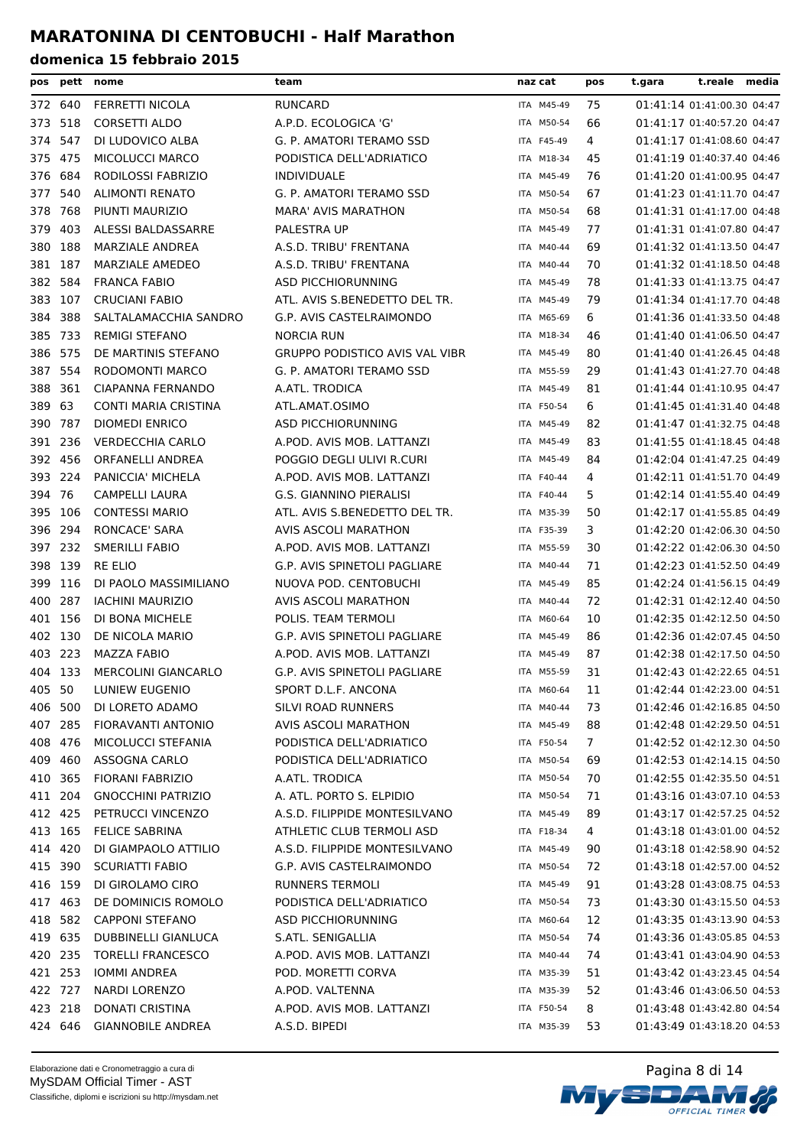| pos     | pett    | nome                       | team                                  | naz cat    | pos            | t.gara | t.reale media              |  |
|---------|---------|----------------------------|---------------------------------------|------------|----------------|--------|----------------------------|--|
| 372 640 |         | <b>FERRETTI NICOLA</b>     | <b>RUNCARD</b>                        | ITA M45-49 | 75             |        | 01:41:14 01:41:00.30 04:47 |  |
| 373 518 |         | <b>CORSETTI ALDO</b>       | A.P.D. ECOLOGICA 'G'                  | ITA M50-54 | 66             |        | 01:41:17 01:40:57.20 04:47 |  |
| 374     | 547     | DI LUDOVICO ALBA           | G. P. AMATORI TERAMO SSD              | ITA F45-49 | 4              |        | 01:41:17 01:41:08.60 04:47 |  |
| 375     | 475     | <b>MICOLUCCI MARCO</b>     | PODISTICA DELL'ADRIATICO              | ITA M18-34 | 45             |        | 01:41:19 01:40:37.40 04:46 |  |
| 376     | 684     | RODILOSSI FABRIZIO         | <b>INDIVIDUALE</b>                    | ITA M45-49 | 76             |        | 01:41:20 01:41:00.95 04:47 |  |
| 377     | 540     | <b>ALIMONTI RENATO</b>     | G. P. AMATORI TERAMO SSD              | ITA M50-54 | 67             |        | 01:41:23 01:41:11.70 04:47 |  |
| 378     | 768     | PIUNTI MAURIZIO            | <b>MARA' AVIS MARATHON</b>            | ITA M50-54 | 68             |        | 01:41:31 01:41:17.00 04:48 |  |
| 379     | 403     | ALESSI BALDASSARRE         | PALESTRA UP                           | ITA M45-49 | 77             |        | 01:41:31 01:41:07.80 04:47 |  |
| 380     | 188     | MARZIALE ANDREA            | A.S.D. TRIBU' FRENTANA                | ITA M40-44 | 69             |        | 01:41:32 01:41:13.50 04:47 |  |
| 381 187 |         | MARZIALE AMEDEO            | A.S.D. TRIBU' FRENTANA                | ITA M40-44 | 70             |        | 01:41:32 01:41:18.50 04:48 |  |
|         | 382 584 | <b>FRANCA FABIO</b>        | ASD PICCHIORUNNING                    | ITA M45-49 | 78             |        | 01:41:33 01:41:13.75 04:47 |  |
| 383 107 |         | <b>CRUCIANI FABIO</b>      | ATL. AVIS S.BENEDETTO DEL TR.         | ITA M45-49 | 79             |        | 01:41:34 01:41:17.70 04:48 |  |
| 384     | 388     | SALTALAMACCHIA SANDRO      | G.P. AVIS CASTELRAIMONDO              | ITA M65-69 | 6              |        | 01:41:36 01:41:33.50 04:48 |  |
| 385     | - 733   | <b>REMIGI STEFANO</b>      | <b>NORCIA RUN</b>                     | ITA M18-34 | 46             |        | 01:41:40 01:41:06.50 04:47 |  |
| 386     | 575     | DE MARTINIS STEFANO        | <b>GRUPPO PODISTICO AVIS VAL VIBR</b> | ITA M45-49 | 80             |        | 01:41:40 01:41:26.45 04:48 |  |
| 387     | 554     | RODOMONTI MARCO            | G. P. AMATORI TERAMO SSD              | ITA M55-59 | 29             |        | 01:41:43 01:41:27.70 04:48 |  |
| 388     | 361     | <b>CIAPANNA FERNANDO</b>   | A.ATL. TRODICA                        | ITA M45-49 | 81             |        | 01:41:44 01:41:10.95 04:47 |  |
| 389     | 63      | CONTI MARIA CRISTINA       | ATL.AMAT.OSIMO                        | ITA F50-54 | 6              |        | 01:41:45 01:41:31.40 04:48 |  |
| 390     | 787     | <b>DIOMEDI ENRICO</b>      | <b>ASD PICCHIORUNNING</b>             | ITA M45-49 | 82             |        | 01:41:47 01:41:32.75 04:48 |  |
|         | 391 236 | <b>VERDECCHIA CARLO</b>    | A.POD. AVIS MOB. LATTANZI             | ITA M45-49 | 83             |        | 01:41:55 01:41:18.45 04:48 |  |
| 392 456 |         | ORFANELLI ANDREA           | POGGIO DEGLI ULIVI R.CURI             | ITA M45-49 | 84             |        | 01:42:04 01:41:47.25 04:49 |  |
| 393 224 |         | PANICCIA' MICHELA          | A.POD. AVIS MOB. LATTANZI             | ITA F40-44 | 4              |        | 01:42:11 01:41:51.70 04:49 |  |
| 394 76  |         | CAMPELLI LAURA             | G.S. GIANNINO PIERALISI               | ITA F40-44 | 5.             |        | 01:42:14 01:41:55.40 04:49 |  |
| 395 106 |         | <b>CONTESSI MARIO</b>      | ATL. AVIS S.BENEDETTO DEL TR.         | ITA M35-39 | 50             |        | 01:42:17 01:41:55.85 04:49 |  |
| 396 294 |         | <b>RONCACE' SARA</b>       | AVIS ASCOLI MARATHON                  | ITA F35-39 | 3              |        | 01:42:20 01:42:06.30 04:50 |  |
|         | 397 232 | <b>SMERILLI FABIO</b>      | A.POD. AVIS MOB. LATTANZI             | ITA M55-59 | 30             |        | 01:42:22 01:42:06.30 04:50 |  |
| 398     | 139     | <b>RE ELIO</b>             | G.P. AVIS SPINETOLI PAGLIARE          | ITA M40-44 | 71             |        | 01:42:23 01:41:52.50 04:49 |  |
| 399     | 116     | DI PAOLO MASSIMILIANO      | NUOVA POD. CENTOBUCHI                 | ITA M45-49 | 85             |        | 01:42:24 01:41:56.15 04:49 |  |
| 400     | 287     | <b>IACHINI MAURIZIO</b>    | AVIS ASCOLI MARATHON                  | ITA M40-44 | 72             |        | 01:42:31 01:42:12.40 04:50 |  |
| 401 156 |         | DI BONA MICHELE            | POLIS. TEAM TERMOLI                   | ITA M60-64 | 10             |        | 01:42:35 01:42:12.50 04:50 |  |
| 402 130 |         | DE NICOLA MARIO            | G.P. AVIS SPINETOLI PAGLIARE          | ITA M45-49 | 86             |        | 01:42:36 01:42:07.45 04:50 |  |
| 403 223 |         | <b>MAZZA FABIO</b>         | A.POD. AVIS MOB. LATTANZI             | ITA M45-49 | 87             |        | 01:42:38 01:42:17.50 04:50 |  |
| 404 133 |         | <b>MERCOLINI GIANCARLO</b> | G.P. AVIS SPINETOLI PAGLIARE          | ITA M55-59 | 31             |        | 01:42:43 01:42:22.65 04:51 |  |
| 405 50  |         | LUNIEW EUGENIO             | SPORT D.L.F. ANCONA                   | ITA M60-64 | 11             |        | 01:42:44 01:42:23.00 04:51 |  |
| 406 500 |         | DI LORETO ADAMO            | SILVI ROAD RUNNERS                    | ITA M40-44 | 73             |        | 01:42:46 01:42:16.85 04:50 |  |
|         | 407 285 | FIORAVANTI ANTONIO         | AVIS ASCOLI MARATHON                  | ITA M45-49 | 88             |        | 01:42:48 01:42:29.50 04:51 |  |
| 408 476 |         | MICOLUCCI STEFANIA         | PODISTICA DELL'ADRIATICO              | ITA F50-54 | $\overline{7}$ |        | 01:42:52 01:42:12.30 04:50 |  |
| 409 460 |         | ASSOGNA CARLO              | PODISTICA DELL'ADRIATICO              | ITA M50-54 | 69             |        | 01:42:53 01:42:14.15 04:50 |  |
| 410     | 365     | <b>FIORANI FABRIZIO</b>    | A.ATL. TRODICA                        | ITA M50-54 | 70             |        | 01:42:55 01:42:35.50 04:51 |  |
| 411 204 |         | <b>GNOCCHINI PATRIZIO</b>  | A. ATL. PORTO S. ELPIDIO              | ITA M50-54 | 71             |        | 01:43:16 01:43:07.10 04:53 |  |
| 412 425 |         | PETRUCCI VINCENZO          | A.S.D. FILIPPIDE MONTESILVANO         | ITA M45-49 | 89             |        | 01:43:17 01:42:57.25 04:52 |  |
| 413 165 |         | <b>FELICE SABRINA</b>      | ATHLETIC CLUB TERMOLI ASD             | ITA F18-34 | 4              |        | 01:43:18 01:43:01.00 04:52 |  |
| 414 420 |         | DI GIAMPAOLO ATTILIO       | A.S.D. FILIPPIDE MONTESILVANO         | ITA M45-49 | 90             |        | 01:43:18 01:42:58.90 04:52 |  |
|         | 415 390 | <b>SCURIATTI FABIO</b>     | G.P. AVIS CASTELRAIMONDO              | ITA M50-54 | 72             |        | 01:43:18 01:42:57.00 04:52 |  |
| 416 159 |         | DI GIROLAMO CIRO           | RUNNERS TERMOLI                       | ITA M45-49 | 91             |        | 01:43:28 01:43:08.75 04:53 |  |
| 417 463 |         | DE DOMINICIS ROMOLO        | PODISTICA DELL'ADRIATICO              | ITA M50-54 | 73             |        | 01:43:30 01:43:15.50 04:53 |  |
| 418 582 |         | <b>CAPPONI STEFANO</b>     | ASD PICCHIORUNNING                    | ITA M60-64 | 12             |        | 01:43:35 01:43:13.90 04:53 |  |
| 419 635 |         | <b>DUBBINELLI GIANLUCA</b> | S.ATL. SENIGALLIA                     | ITA M50-54 | 74             |        | 01:43:36 01:43:05.85 04:53 |  |
|         | 420 235 | <b>TORELLI FRANCESCO</b>   | A.POD. AVIS MOB. LATTANZI             | ITA M40-44 | 74             |        | 01:43:41 01:43:04.90 04:53 |  |
|         | 421 253 | <b>IOMMI ANDREA</b>        | POD. MORETTI CORVA                    | ITA M35-39 | 51             |        | 01:43:42 01:43:23.45 04:54 |  |
| 422 727 |         | <b>NARDI LORENZO</b>       | A.POD. VALTENNA                       | ITA M35-39 | 52             |        | 01:43:46 01:43:06.50 04:53 |  |
| 423 218 |         | <b>DONATI CRISTINA</b>     | A.POD. AVIS MOB. LATTANZI             | ITA F50-54 | 8              |        | 01:43:48 01:43:42.80 04:54 |  |
|         | 424 646 | <b>GIANNOBILE ANDREA</b>   | A.S.D. BIPEDI                         | ITA M35-39 | 53             |        | 01:43:49 01:43:18.20 04:53 |  |

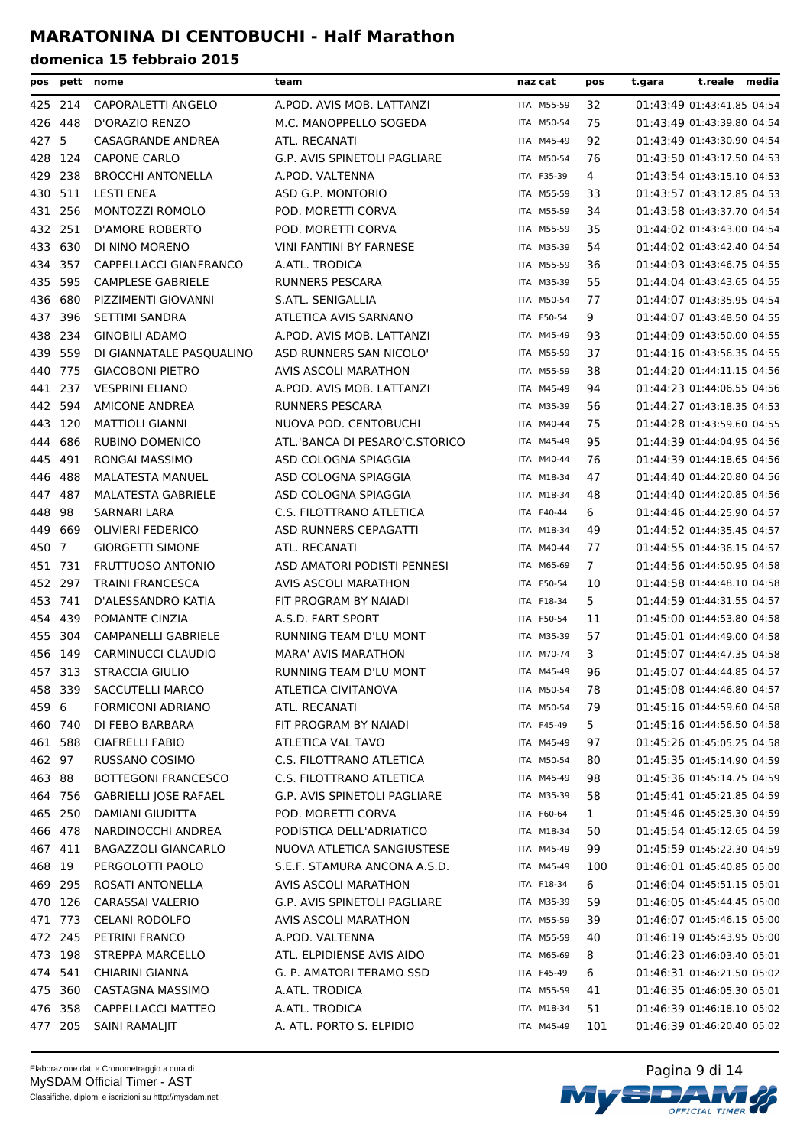| pos     |         | pett nome                    | team                                | naz cat    | pos            | t.reale media<br>t.gara    |
|---------|---------|------------------------------|-------------------------------------|------------|----------------|----------------------------|
|         | 425 214 | CAPORALETTI ANGELO           | A.POD. AVIS MOB. LATTANZI           | ITA M55-59 | 32             | 01:43:49 01:43:41.85 04:54 |
| 426     | 448     | D'ORAZIO RENZO               | M.C. MANOPPELLO SOGEDA              | ITA M50-54 | 75             | 01:43:49 01:43:39.80 04:54 |
| 427 5   |         | CASAGRANDE ANDREA            | ATL. RECANATI                       | ITA M45-49 | 92             | 01:43:49 01:43:30.90 04:54 |
|         | 428 124 | <b>CAPONE CARLO</b>          | G.P. AVIS SPINETOLI PAGLIARE        | ITA M50-54 | 76             | 01:43:50 01:43:17.50 04:53 |
| 429 238 |         | <b>BROCCHI ANTONELLA</b>     | A.POD. VALTENNA                     | ITA F35-39 | 4              | 01:43:54 01:43:15.10 04:53 |
| 430 511 |         | <b>LESTI ENEA</b>            | ASD G.P. MONTORIO                   | ITA M55-59 | 33             | 01:43:57 01:43:12.85 04:53 |
| 431 256 |         | MONTOZZI ROMOLO              | POD. MORETTI CORVA                  | ITA M55-59 | 34             | 01:43:58 01:43:37.70 04:54 |
| 432 251 |         | D'AMORE ROBERTO              | POD. MORETTI CORVA                  | ITA M55-59 | 35             | 01:44:02 01:43:43.00 04:54 |
| 433 630 |         | DI NINO MORENO               | VINI FANTINI BY FARNESE             | ITA M35-39 | 54             | 01:44:02 01:43:42.40 04:54 |
| 434 357 |         | CAPPELLACCI GIANFRANCO       | A.ATL. TRODICA                      | ITA M55-59 | 36             | 01:44:03 01:43:46.75 04:55 |
| 435 595 |         | <b>CAMPLESE GABRIELE</b>     | <b>RUNNERS PESCARA</b>              | ITA M35-39 | 55             | 01:44:04 01:43:43.65 04:55 |
| 436     | 680     | PIZZIMENTI GIOVANNI          | S.ATL. SENIGALLIA                   | ITA M50-54 | 77             | 01:44:07 01:43:35.95 04:54 |
| 437     | 396     | SETTIMI SANDRA               | ATLETICA AVIS SARNANO               | ITA F50-54 | 9              | 01:44:07 01:43:48.50 04:55 |
| 438     | 234     | <b>GINOBILI ADAMO</b>        | A.POD. AVIS MOB. LATTANZI           | ITA M45-49 | 93             | 01:44:09 01:43:50.00 04:55 |
| 439     | 559     | DI GIANNATALE PASQUALINO     | ASD RUNNERS SAN NICOLO'             | ITA M55-59 | 37             | 01:44:16 01:43:56.35 04:55 |
| 440     | 775     | <b>GIACOBONI PIETRO</b>      | AVIS ASCOLI MARATHON                | ITA M55-59 | 38             | 01:44:20 01:44:11.15 04:56 |
| 441 237 |         | <b>VESPRINI ELIANO</b>       | A.POD. AVIS MOB. LATTANZI           | ITA M45-49 | 94             | 01:44:23 01:44:06.55 04:56 |
| 442 594 |         | <b>AMICONE ANDREA</b>        | <b>RUNNERS PESCARA</b>              | ITA M35-39 | 56             | 01:44:27 01:43:18.35 04:53 |
| 443 120 |         | <b>MATTIOLI GIANNI</b>       | NUOVA POD. CENTOBUCHI               | ITA M40-44 | 75             | 01:44:28 01:43:59.60 04:55 |
| 444     | 686     | <b>RUBINO DOMENICO</b>       | ATL.'BANCA DI PESARO'C.STORICO      | ITA M45-49 | 95             | 01:44:39 01:44:04.95 04:56 |
| 445     | 491     | <b>RONGAI MASSIMO</b>        | ASD COLOGNA SPIAGGIA                | ITA M40-44 | 76             | 01:44:39 01:44:18.65 04:56 |
| 446     | 488     | <b>MALATESTA MANUEL</b>      | ASD COLOGNA SPIAGGIA                | ITA M18-34 | 47             | 01:44:40 01:44:20.80 04:56 |
| 447 487 |         | <b>MALATESTA GABRIELE</b>    | ASD COLOGNA SPIAGGIA                | ITA M18-34 | 48             | 01:44:40 01:44:20.85 04:56 |
| 448     | 98      | SARNARI LARA                 | C.S. FILOTTRANO ATLETICA            | ITA F40-44 | 6              | 01:44:46 01:44:25.90 04:57 |
| 449     | 669     | <b>OLIVIERI FEDERICO</b>     | ASD RUNNERS CEPAGATTI               | ITA M18-34 | 49             | 01:44:52 01:44:35.45 04:57 |
| 450 7   |         | <b>GIORGETTI SIMONE</b>      | ATL. RECANATI                       | ITA M40-44 | 77             | 01:44:55 01:44:36.15 04:57 |
| 451     | 731     | <b>FRUTTUOSO ANTONIO</b>     | ASD AMATORI PODISTI PENNESI         | ITA M65-69 | $\overline{7}$ | 01:44:56 01:44:50.95 04:58 |
| 452     | 297     | <b>TRAINI FRANCESCA</b>      | AVIS ASCOLI MARATHON                | ITA F50-54 | 10             | 01:44:58 01:44:48.10 04:58 |
| 453 741 |         | D'ALESSANDRO KATIA           | FIT PROGRAM BY NAIADI               | ITA F18-34 | 5              | 01:44:59 01:44:31.55 04:57 |
| 454 439 |         | POMANTE CINZIA               | A.S.D. FART SPORT                   | ITA F50-54 | 11             | 01:45:00 01:44:53.80 04:58 |
|         | 455 304 | <b>CAMPANELLI GABRIELE</b>   | RUNNING TEAM D'LU MONT              | ITA M35-39 | 57             | 01:45:01 01:44:49.00 04:58 |
| 456 149 |         | CARMINUCCI CLAUDIO           | <b>MARA' AVIS MARATHON</b>          | ITA M70-74 | 3              | 01:45:07 01:44:47.35 04:58 |
| 457 313 |         | STRACCIA GIULIO              | RUNNING TEAM D'LU MONT              | ITA M45-49 | 96             | 01:45:07 01:44:44.85 04:57 |
| 458     | 339     | SACCUTELLI MARCO             | ATLETICA CIVITANOVA                 | ITA M50-54 | 78             | 01:45:08 01:44:46.80 04:57 |
| 459 6   |         | <b>FORMICONI ADRIANO</b>     | ATL. RECANATI                       | ITA M50-54 | 79             | 01:45:16 01:44:59.60 04:58 |
|         | 460 740 | DI FEBO BARBARA              | FIT PROGRAM BY NAIADI               | ITA F45-49 | 5              | 01:45:16 01:44:56.50 04:58 |
|         | 461 588 | <b>CIAFRELLI FABIO</b>       | ATLETICA VAL TAVO                   | ITA M45-49 | 97             | 01:45:26 01:45:05.25 04:58 |
| 462 97  |         | RUSSANO COSIMO               | C.S. FILOTTRANO ATLETICA            | ITA M50-54 | 80             | 01:45:35 01:45:14.90 04:59 |
| 463 88  |         | <b>BOTTEGONI FRANCESCO</b>   | C.S. FILOTTRANO ATLETICA            | ITA M45-49 | 98             | 01:45:36 01:45:14.75 04:59 |
|         | 464 756 | <b>GABRIELLI JOSE RAFAEL</b> | <b>G.P. AVIS SPINETOLI PAGLIARE</b> | ITA M35-39 | 58             | 01:45:41 01:45:21.85 04:59 |
|         | 465 250 | DAMIANI GIUDITTA             | POD. MORETTI CORVA                  | ITA F60-64 | 1              | 01:45:46 01:45:25.30 04:59 |
|         | 466 478 | NARDINOCCHI ANDREA           | PODISTICA DELL'ADRIATICO            | ITA M18-34 | 50             | 01:45:54 01:45:12.65 04:59 |
|         | 467 411 | <b>BAGAZZOLI GIANCARLO</b>   | NUOVA ATLETICA SANGIUSTESE          | ITA M45-49 | 99             | 01:45:59 01:45:22.30 04:59 |
| 468 19  |         | PERGOLOTTI PAOLO             | S.E.F. STAMURA ANCONA A.S.D.        | ITA M45-49 | 100            | 01:46:01 01:45:40.85 05:00 |
| 469 295 |         | ROSATI ANTONELLA             | AVIS ASCOLI MARATHON                | ITA F18-34 | 6              | 01:46:04 01:45:51.15 05:01 |
|         | 470 126 | CARASSAI VALERIO             | G.P. AVIS SPINETOLI PAGLIARE        | ITA M35-39 | 59             | 01:46:05 01:45:44.45 05:00 |
|         | 471 773 | <b>CELANI RODOLFO</b>        | AVIS ASCOLI MARATHON                | ITA M55-59 | 39             | 01:46:07 01:45:46.15 05:00 |
|         | 472 245 | PETRINI FRANCO               | A.POD. VALTENNA                     | ITA M55-59 | 40             | 01:46:19 01:45:43.95 05:00 |
|         | 473 198 | <b>STREPPA MARCELLO</b>      | ATL. ELPIDIENSE AVIS AIDO           | ITA M65-69 | 8              | 01:46:23 01:46:03.40 05:01 |
|         | 474 541 | CHIARINI GIANNA              | G. P. AMATORI TERAMO SSD            | ITA F45-49 | 6              | 01:46:31 01:46:21.50 05:02 |
| 475 360 |         | CASTAGNA MASSIMO             | A.ATL. TRODICA                      | ITA M55-59 | 41             | 01:46:35 01:46:05.30 05:01 |
|         | 476 358 | CAPPELLACCI MATTEO           | A.ATL. TRODICA                      | ITA M18-34 | 51             | 01:46:39 01:46:18.10 05:02 |
|         | 477 205 | SAINI RAMALJIT               | A. ATL. PORTO S. ELPIDIO            | ITA M45-49 | 101            | 01:46:39 01:46:20.40 05:02 |

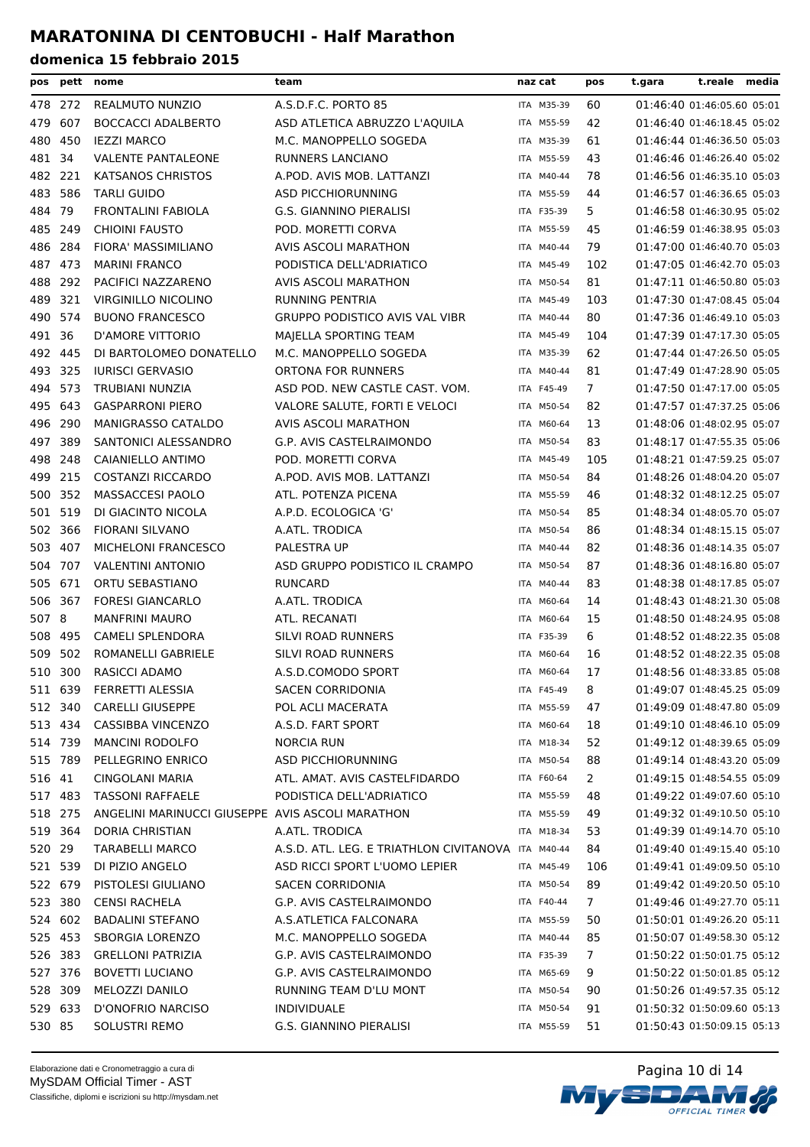| pos     |         | pett nome                                        | team                                               | naz cat    | pos            | t.gara | t.reale                    | media |
|---------|---------|--------------------------------------------------|----------------------------------------------------|------------|----------------|--------|----------------------------|-------|
| 478 272 |         | REALMUTO NUNZIO                                  | A.S.D.F.C. PORTO 85                                | ITA M35-39 | 60             |        | 01:46:40 01:46:05.60 05:01 |       |
| 479     | 607     | <b>BOCCACCI ADALBERTO</b>                        | ASD ATLETICA ABRUZZO L'AQUILA                      | ITA M55-59 | 42             |        | 01:46:40 01:46:18.45 05:02 |       |
| 480     | 450     | <b>IEZZI MARCO</b>                               | M.C. MANOPPELLO SOGEDA                             | ITA M35-39 | 61             |        | 01:46:44 01:46:36.50 05:03 |       |
| 481 34  |         | <b>VALENTE PANTALEONE</b>                        | <b>RUNNERS LANCIANO</b>                            | ITA M55-59 | 43             |        | 01:46:46 01:46:26.40 05:02 |       |
| 482 221 |         | KATSANOS CHRISTOS                                | A.POD. AVIS MOB. LATTANZI                          | ITA M40-44 | 78             |        | 01:46:56 01:46:35.10 05:03 |       |
| 483 586 |         | <b>TARLI GUIDO</b>                               | ASD PICCHIORUNNING                                 | ITA M55-59 | 44             |        | 01:46:57 01:46:36.65 05:03 |       |
| 484 79  |         | <b>FRONTALINI FABIOLA</b>                        | <b>G.S. GIANNINO PIERALISI</b>                     | ITA F35-39 | 5.             |        | 01:46:58 01:46:30.95 05:02 |       |
| 485     | 249     | <b>CHIOINI FAUSTO</b>                            | POD. MORETTI CORVA                                 | ITA M55-59 | 45             |        | 01:46:59 01:46:38.95 05:03 |       |
| 486     | 284     | <b>FIORA' MASSIMILIANO</b>                       | AVIS ASCOLI MARATHON                               | ITA M40-44 | 79             |        | 01:47:00 01:46:40.70 05:03 |       |
| 487 473 |         | <b>MARINI FRANCO</b>                             | PODISTICA DELL'ADRIATICO                           | ITA M45-49 | 102            |        | 01:47:05 01:46:42.70 05:03 |       |
| 488 292 |         | PACIFICI NAZZARENO                               | AVIS ASCOLI MARATHON                               | ITA M50-54 | 81             |        | 01:47:11 01:46:50.80 05:03 |       |
| 489 321 |         | VIRGINILLO NICOLINO                              | <b>RUNNING PENTRIA</b>                             | ITA M45-49 | 103            |        | 01:47:30 01:47:08.45 05:04 |       |
| 490 574 |         | <b>BUONO FRANCESCO</b>                           | <b>GRUPPO PODISTICO AVIS VAL VIBR</b>              | ITA M40-44 | 80             |        | 01:47:36 01:46:49.10 05:03 |       |
| 491 36  |         | D'AMORE VITTORIO                                 | MAJELLA SPORTING TEAM                              | ITA M45-49 | 104            |        | 01:47:39 01:47:17.30 05:05 |       |
| 492 445 |         | DI BARTOLOMEO DONATELLO                          | M.C. MANOPPELLO SOGEDA                             | ITA M35-39 | 62             |        | 01:47:44 01:47:26.50 05:05 |       |
| 493     | 325     | <b>IURISCI GERVASIO</b>                          | <b>ORTONA FOR RUNNERS</b>                          | ITA M40-44 | 81             |        | 01:47:49 01:47:28.90 05:05 |       |
| 494     | 573     | TRUBIANI NUNZIA                                  | ASD POD. NEW CASTLE CAST. VOM.                     | ITA F45-49 | 7              |        | 01:47:50 01:47:17.00 05:05 |       |
| 495 643 |         | <b>GASPARRONI PIERO</b>                          | VALORE SALUTE, FORTI E VELOCI                      | ITA M50-54 | 82             |        | 01:47:57 01:47:37.25 05:06 |       |
| 496     | 290     | <b>MANIGRASSO CATALDO</b>                        | AVIS ASCOLI MARATHON                               | ITA M60-64 | 13             |        | 01:48:06 01:48:02.95 05:07 |       |
| 497     | 389     | SANTONICI ALESSANDRO                             | G.P. AVIS CASTELRAIMONDO                           | ITA M50-54 | 83             |        | 01:48:17 01:47:55.35 05:06 |       |
| 498     | 248     | CAIANIELLO ANTIMO                                | POD. MORETTI CORVA                                 | ITA M45-49 | 105            |        | 01:48:21 01:47:59.25 05:07 |       |
| 499 215 |         | COSTANZI RICCARDO                                | A.POD. AVIS MOB. LATTANZI                          | ITA M50-54 | 84             |        | 01:48:26 01:48:04.20 05:07 |       |
| 500 352 |         | MASSACCESI PAOLO                                 | ATL. POTENZA PICENA                                | ITA M55-59 | 46             |        | 01:48:32 01:48:12.25 05:07 |       |
| 501 519 |         | DI GIACINTO NICOLA                               | A.P.D. ECOLOGICA 'G'                               | ITA M50-54 | 85             |        | 01:48:34 01:48:05.70 05:07 |       |
| 502 366 |         | <b>FIORANI SILVANO</b>                           | A.ATL. TRODICA                                     | ITA M50-54 | 86             |        | 01:48:34 01:48:15.15 05:07 |       |
| 503     | 407     | MICHELONI FRANCESCO                              | PALESTRA UP                                        | ITA M40-44 | 82             |        | 01:48:36 01:48:14.35 05:07 |       |
| 504     | 707     | <b>VALENTINI ANTONIO</b>                         | ASD GRUPPO PODISTICO IL CRAMPO                     | ITA M50-54 | 87             |        | 01:48:36 01:48:16.80 05:07 |       |
| 505     | 671     | ORTU SEBASTIANO                                  | <b>RUNCARD</b>                                     | ITA M40-44 | 83             |        | 01:48:38 01:48:17.85 05:07 |       |
| 506 367 |         | <b>FORESI GIANCARLO</b>                          | A.ATL. TRODICA                                     | ITA M60-64 | 14             |        | 01:48:43 01:48:21.30 05:08 |       |
| 507 8   |         | <b>MANFRINI MAURO</b>                            | ATL. RECANATI                                      | ITA M60-64 | 15             |        | 01:48:50 01:48:24.95 05:08 |       |
| 508     | 495     | <b>CAMELI SPLENDORA</b>                          | SILVI ROAD RUNNERS                                 | ITA F35-39 | 6              |        | 01:48:52 01:48:22.35 05:08 |       |
| 509     | 502     | ROMANELLI GABRIELE                               | SILVI ROAD RUNNERS                                 | ITA M60-64 | 16             |        | 01:48:52 01:48:22.35 05:08 |       |
| 510 300 |         | RASICCI ADAMO                                    | A.S.D.COMODO SPORT                                 | ITA M60-64 | 17             |        | 01:48:56 01:48:33.85 05:08 |       |
| 511 639 |         | FERRETTI ALESSIA                                 | SACEN CORRIDONIA                                   | ITA F45-49 | 8              |        | 01:49:07 01:48:45.25 05:09 |       |
|         | 512 340 | <b>CARELLI GIUSEPPE</b>                          | POL ACLI MACERATA                                  | ITA M55-59 | 47             |        | 01:49:09 01:48:47.80 05:09 |       |
|         | 513 434 | CASSIBBA VINCENZO                                | A.S.D. FART SPORT                                  | ITA M60-64 | 18             |        | 01:49:10 01:48:46.10 05:09 |       |
|         | 514 739 | <b>MANCINI RODOLFO</b>                           | <b>NORCIA RUN</b>                                  | ITA M18-34 | 52             |        | 01:49:12 01:48:39.65 05:09 |       |
|         | 515 789 | PELLEGRINO ENRICO                                | ASD PICCHIORUNNING                                 | ITA M50-54 | 88             |        | 01:49:14 01:48:43.20 05:09 |       |
| 516 41  |         | CINGOLANI MARIA                                  | ATL. AMAT. AVIS CASTELFIDARDO                      | ITA F60-64 | $\overline{2}$ |        | 01:49:15 01:48:54.55 05:09 |       |
| 517 483 |         | <b>TASSONI RAFFAELE</b>                          | PODISTICA DELL'ADRIATICO                           | ITA M55-59 | 48             |        | 01:49:22 01:49:07.60 05:10 |       |
| 518 275 |         | ANGELINI MARINUCCI GIUSEPPE AVIS ASCOLI MARATHON |                                                    | ITA M55-59 | 49             |        | 01:49:32 01:49:10.50 05:10 |       |
| 519 364 |         | DORIA CHRISTIAN                                  | A.ATL. TRODICA                                     | ITA M18-34 | 53             |        | 01:49:39 01:49:14.70 05:10 |       |
| 520 29  |         | <b>TARABELLI MARCO</b>                           | A.S.D. ATL. LEG. E TRIATHLON CIVITANOVA ITA M40-44 |            | 84             |        | 01:49:40 01:49:15.40 05:10 |       |
| 521 539 |         | DI PIZIO ANGELO                                  | ASD RICCI SPORT L'UOMO LEPIER                      | ITA M45-49 | 106            |        | 01:49:41 01:49:09.50 05:10 |       |
| 522 679 |         | PISTOLESI GIULIANO                               | SACEN CORRIDONIA                                   | ITA M50-54 | 89             |        | 01:49:42 01:49:20.50 05:10 |       |
| 523 380 |         | <b>CENSI RACHELA</b>                             | G.P. AVIS CASTELRAIMONDO                           | ITA F40-44 | 7              |        | 01:49:46 01:49:27.70 05:11 |       |
| 524 602 |         | <b>BADALINI STEFANO</b>                          | A.S.ATLETICA FALCONARA                             | ITA M55-59 | 50             |        | 01:50:01 01:49:26.20 05:11 |       |
| 525 453 |         | <b>SBORGIA LORENZO</b>                           | M.C. MANOPPELLO SOGEDA                             | ITA M40-44 | 85             |        | 01:50:07 01:49:58.30 05:12 |       |
|         | 526 383 | <b>GRELLONI PATRIZIA</b>                         | G.P. AVIS CASTELRAIMONDO                           | ITA F35-39 | 7              |        | 01:50:22 01:50:01.75 05:12 |       |
| 527 376 |         | <b>BOVETTI LUCIANO</b>                           | G.P. AVIS CASTELRAIMONDO                           | ITA M65-69 | 9              |        | 01:50:22 01:50:01.85 05:12 |       |
|         | 528 309 | MELOZZI DANILO                                   | RUNNING TEAM D'LU MONT                             | ITA M50-54 | 90             |        | 01:50:26 01:49:57.35 05:12 |       |
| 529 633 |         | D'ONOFRIO NARCISO                                | <b>INDIVIDUALE</b>                                 | ITA M50-54 | 91             |        | 01:50:32 01:50:09.60 05:13 |       |
| 530 85  |         | SOLUSTRI REMO                                    | G.S. GIANNINO PIERALISI                            | ITA M55-59 | 51             |        | 01:50:43 01:50:09.15 05:13 |       |

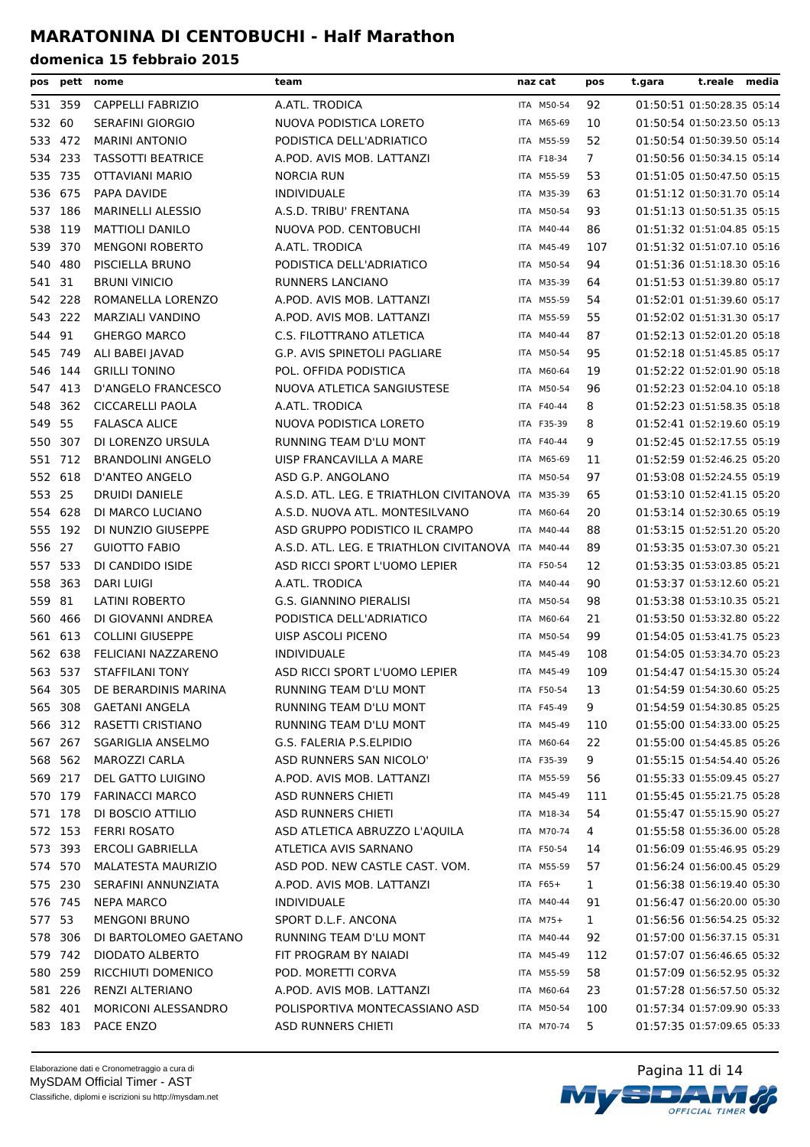| pos     |         | pett nome                | team                                               | naz cat           | pos            | t.gara | t.reale media              |  |
|---------|---------|--------------------------|----------------------------------------------------|-------------------|----------------|--------|----------------------------|--|
|         | 531 359 | <b>CAPPELLI FABRIZIO</b> | A.ATL. TRODICA                                     | ITA M50-54        | 92             |        | 01:50:51 01:50:28.35 05:14 |  |
| 532 60  |         | <b>SERAFINI GIORGIO</b>  | NUOVA PODISTICA LORETO                             | ITA M65-69        | 10             |        | 01:50:54 01:50:23.50 05:13 |  |
| 533     | 472     | <b>MARINI ANTONIO</b>    | PODISTICA DELL'ADRIATICO                           | ITA M55-59        | 52             |        | 01:50:54 01:50:39.50 05:14 |  |
|         | 534 233 | <b>TASSOTTI BEATRICE</b> | A.POD. AVIS MOB. LATTANZI                          | ITA F18-34        | $\overline{7}$ |        | 01:50:56 01:50:34.15 05:14 |  |
| 535     | 735     | OTTAVIANI MARIO          | <b>NORCIA RUN</b>                                  | ITA M55-59        | 53             |        | 01:51:05 01:50:47.50 05:15 |  |
| 536     | 675     | PAPA DAVIDE              | <b>INDIVIDUALE</b>                                 | ITA M35-39        | 63             |        | 01:51:12 01:50:31.70 05:14 |  |
| 537 186 |         | <b>MARINELLI ALESSIO</b> | A.S.D. TRIBU' FRENTANA                             | ITA M50-54        | 93             |        | 01:51:13 01:50:51.35 05:15 |  |
| 538     | 119     | <b>MATTIOLI DANILO</b>   | NUOVA POD. CENTOBUCHI                              | ITA M40-44        | 86             |        | 01:51:32 01:51:04.85 05:15 |  |
| 539     | 370     | <b>MENGONI ROBERTO</b>   | A.ATL. TRODICA                                     | ITA M45-49        | 107            |        | 01:51:32 01:51:07.10 05:16 |  |
| 540     | 480     | PISCIELLA BRUNO          | PODISTICA DELL'ADRIATICO                           | ITA M50-54        | 94             |        | 01:51:36 01:51:18.30 05:16 |  |
| 541 31  |         | <b>BRUNI VINICIO</b>     | RUNNERS LANCIANO                                   | ITA M35-39        | 64             |        | 01:51:53 01:51:39.80 05:17 |  |
| 542 228 |         | ROMANELLA LORENZO        | A.POD. AVIS MOB. LATTANZI                          | ITA M55-59        | 54             |        | 01:52:01 01:51:39.60 05:17 |  |
| 543 222 |         | MARZIALI VANDINO         | A.POD. AVIS MOB. LATTANZI                          | ITA M55-59        | 55             |        | 01:52:02 01:51:31.30 05:17 |  |
| 544 91  |         | <b>GHERGO MARCO</b>      | C.S. FILOTTRANO ATLETICA                           | ITA M40-44        | 87             |        | 01:52:13 01:52:01.20 05:18 |  |
| 545     | 749     | ALI BABEI JAVAD          | G.P. AVIS SPINETOLI PAGLIARE                       | ITA M50-54        | 95             |        | 01:52:18 01:51:45.85 05:17 |  |
| 546     | 144     | <b>GRILLI TONINO</b>     | POL. OFFIDA PODISTICA                              | ITA M60-64        | 19             |        | 01:52:22 01:52:01.90 05:18 |  |
| 547     | 413     | D'ANGELO FRANCESCO       | NUOVA ATLETICA SANGIUSTESE                         | ITA M50-54        | 96             |        | 01:52:23 01:52:04.10 05:18 |  |
| 548     | 362     | <b>CICCARELLI PAOLA</b>  | A.ATL. TRODICA                                     | <b>ITA F40-44</b> | 8              |        | 01:52:23 01:51:58.35 05:18 |  |
| 549 55  |         | <b>FALASCA ALICE</b>     | NUOVA PODISTICA LORETO                             | ITA F35-39        | 8              |        | 01:52:41 01:52:19.60 05:19 |  |
| 550     | 307     | DI LORENZO URSULA        | RUNNING TEAM D'LU MONT                             | ITA F40-44        | 9              |        | 01:52:45 01:52:17.55 05:19 |  |
| 551 712 |         | <b>BRANDOLINI ANGELO</b> | UISP FRANCAVILLA A MARE                            | ITA M65-69        | 11             |        | 01:52:59 01:52:46.25 05:20 |  |
| 552 618 |         | D'ANTEO ANGELO           | ASD G.P. ANGOLANO                                  | ITA M50-54        | 97             |        | 01:53:08 01:52:24.55 05:19 |  |
| 553 25  |         | <b>DRUIDI DANIELE</b>    | A.S.D. ATL. LEG. E TRIATHLON CIVITANOVA ITA M35-39 |                   | 65             |        | 01:53:10 01:52:41.15 05:20 |  |
| 554     | 628     | DI MARCO LUCIANO         | A.S.D. NUOVA ATL. MONTESILVANO                     | ITA M60-64        | 20             |        | 01:53:14 01:52:30.65 05:19 |  |
| 555 192 |         | DI NUNZIO GIUSEPPE       | ASD GRUPPO PODISTICO IL CRAMPO                     | ITA M40-44        | 88             |        | 01:53:15 01:52:51.20 05:20 |  |
| 556 27  |         | <b>GUIOTTO FABIO</b>     | A.S.D. ATL. LEG. E TRIATHLON CIVITANOVA            | ITA M40-44        | 89             |        | 01:53:35 01:53:07.30 05:21 |  |
| 557 533 |         | DI CANDIDO ISIDE         | ASD RICCI SPORT L'UOMO LEPIER                      | ITA F50-54        | 12             |        | 01:53:35 01:53:03.85 05:21 |  |
| 558     | 363     | <b>DARI LUIGI</b>        | A.ATL. TRODICA                                     | ITA M40-44        | 90             |        | 01:53:37 01:53:12.60 05:21 |  |
| 559     | 81      | LATINI ROBERTO           | G.S. GIANNINO PIERALISI                            | ITA M50-54        | 98             |        | 01:53:38 01:53:10.35 05:21 |  |
| 560     | 466     | DI GIOVANNI ANDREA       | PODISTICA DELL'ADRIATICO                           | ITA M60-64        | 21             |        | 01:53:50 01:53:32.80 05:22 |  |
| 561 613 |         | <b>COLLINI GIUSEPPE</b>  | UISP ASCOLI PICENO                                 | ITA M50-54        | 99             |        | 01:54:05 01:53:41.75 05:23 |  |
| 562 638 |         | FELICIANI NAZZARENO      | <b>INDIVIDUALE</b>                                 | ITA M45-49        | 108            |        | 01:54:05 01:53:34.70 05:23 |  |
|         | 563 537 | STAFFILANI TONY          | ASD RICCI SPORT L'UOMO LEPIER                      | ITA M45-49        | 109            |        | 01:54:47 01:54:15.30 05:24 |  |
|         | 564 305 | DE BERARDINIS MARINA     | RUNNING TEAM D'LU MONT                             | ITA F50-54        | 13             |        | 01:54:59 01:54:30.60 05:25 |  |
|         | 565 308 | <b>GAETANI ANGELA</b>    | RUNNING TEAM D'LU MONT                             | ITA F45-49        | 9              |        | 01:54:59 01:54:30.85 05:25 |  |
|         | 566 312 | RASETTI CRISTIANO        | RUNNING TEAM D'LU MONT                             | ITA M45-49        | 110            |        | 01:55:00 01:54:33.00 05:25 |  |
|         | 567 267 | <b>SGARIGLIA ANSELMO</b> | G.S. FALERIA P.S.ELPIDIO                           | ITA M60-64        | 22             |        | 01:55:00 01:54:45.85 05:26 |  |
|         | 568 562 | MAROZZI CARLA            | ASD RUNNERS SAN NICOLO'                            | ITA F35-39        | 9              |        | 01:55:15 01:54:54.40 05:26 |  |
| 569 217 |         | DEL GATTO LUIGINO        | A.POD. AVIS MOB. LATTANZI                          | ITA M55-59        | 56             |        | 01:55:33 01:55:09.45 05:27 |  |
|         | 570 179 | <b>FARINACCI MARCO</b>   | ASD RUNNERS CHIETI                                 | ITA M45-49        | 111            |        | 01:55:45 01:55:21.75 05:28 |  |
|         | 571 178 | DI BOSCIO ATTILIO        | ASD RUNNERS CHIETI                                 | ITA M18-34        | 54             |        | 01:55:47 01:55:15.90 05:27 |  |
|         | 572 153 | <b>FERRI ROSATO</b>      | ASD ATLETICA ABRUZZO L'AQUILA                      | ITA M70-74        | 4              |        | 01:55:58 01:55:36.00 05:28 |  |
|         | 573 393 | <b>ERCOLI GABRIELLA</b>  | ATLETICA AVIS SARNANO                              | ITA F50-54        | 14             |        | 01:56:09 01:55:46.95 05:29 |  |
|         | 574 570 | MALATESTA MAURIZIO       | ASD POD. NEW CASTLE CAST. VOM.                     | ITA M55-59        | 57             |        | 01:56:24 01:56:00.45 05:29 |  |
|         | 575 230 | SERAFINI ANNUNZIATA      | A.POD. AVIS MOB. LATTANZI                          | ITA F65+          | $\mathbf{1}$   |        | 01:56:38 01:56:19.40 05:30 |  |
|         | 576 745 | NEPA MARCO               | <b>INDIVIDUALE</b>                                 | ITA M40-44        | 91             |        | 01:56:47 01:56:20.00 05:30 |  |
| 577 53  |         | <b>MENGONI BRUNO</b>     | SPORT D.L.F. ANCONA                                | ITA M75+          | $\mathbf{1}$   |        | 01:56:56 01:56:54.25 05:32 |  |
| 578 306 |         | DI BARTOLOMEO GAETANO    | RUNNING TEAM D'LU MONT                             | ITA M40-44        | 92             |        | 01:57:00 01:56:37.15 05:31 |  |
|         | 579 742 | <b>DIODATO ALBERTO</b>   | FIT PROGRAM BY NAIADI                              | ITA M45-49        | 112            |        | 01:57:07 01:56:46.65 05:32 |  |
|         | 580 259 | RICCHIUTI DOMENICO       | POD. MORETTI CORVA                                 | ITA M55-59        | 58             |        | 01:57:09 01:56:52.95 05:32 |  |
|         | 581 226 | RENZI ALTERIANO          | A.POD. AVIS MOB. LATTANZI                          | ITA M60-64        | 23             |        | 01:57:28 01:56:57.50 05:32 |  |
|         | 582 401 | MORICONI ALESSANDRO      | POLISPORTIVA MONTECASSIANO ASD                     | ITA M50-54        | 100            |        | 01:57:34 01:57:09.90 05:33 |  |
|         | 583 183 | PACE ENZO                | ASD RUNNERS CHIETI                                 | ITA M70-74        | 5              |        | 01:57:35 01:57:09.65 05:33 |  |

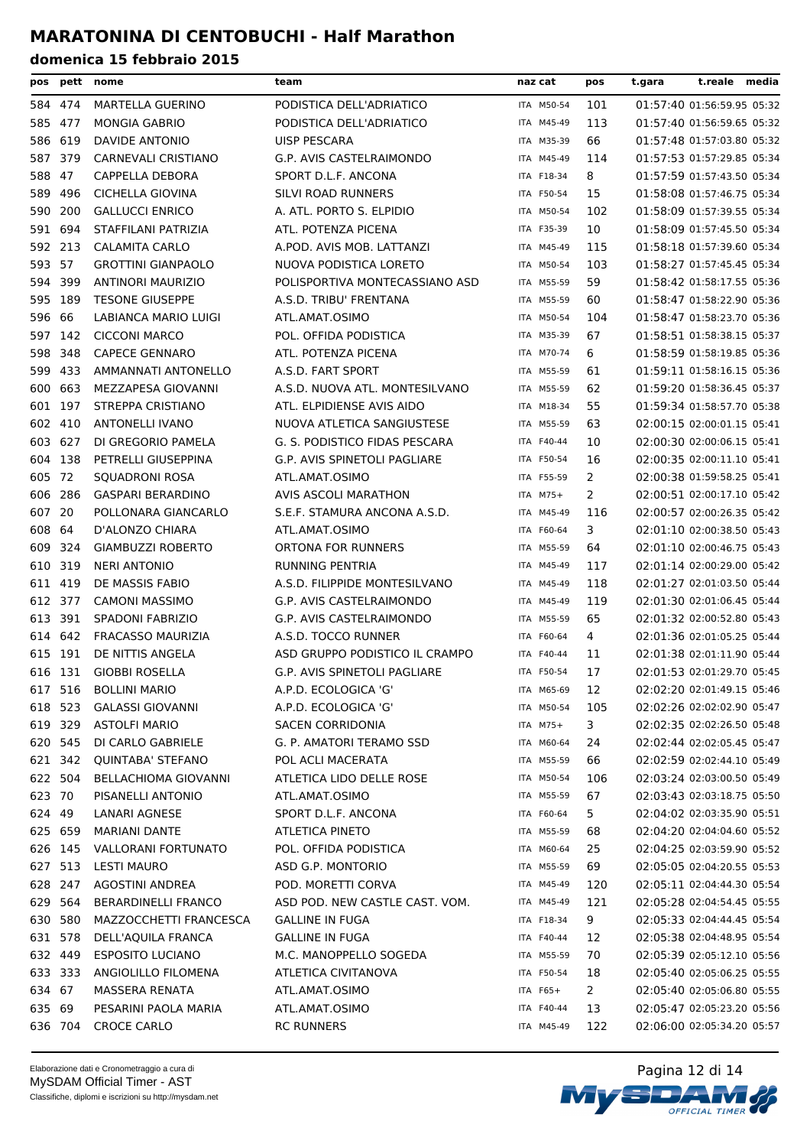| pos     | pett    | nome                        | team                                | naz cat    | pos            | t.reale media<br>t.gara                                  |
|---------|---------|-----------------------------|-------------------------------------|------------|----------------|----------------------------------------------------------|
|         | 584 474 | MARTELLA GUERINO            | PODISTICA DELL'ADRIATICO            | ITA M50-54 | 101            | 01:57:40 01:56:59.95 05:32                               |
|         | 585 477 | <b>MONGIA GABRIO</b>        | PODISTICA DELL'ADRIATICO            | ITA M45-49 | 113            | 01:57:40 01:56:59.65 05:32                               |
|         | 586 619 | DAVIDE ANTONIO              | UISP PESCARA                        | ITA M35-39 | 66             | 01:57:48 01:57:03.80 05:32                               |
| 587     | 379     | CARNEVALI CRISTIANO         | G.P. AVIS CASTELRAIMONDO            | ITA M45-49 | 114            | 01:57:53 01:57:29.85 05:34                               |
| 588     | 47      | CAPPELLA DEBORA             | SPORT D.L.F. ANCONA                 | ITA F18-34 | 8              | 01:57:59 01:57:43.50 05:34                               |
| 589     | 496     | <b>CICHELLA GIOVINA</b>     | SILVI ROAD RUNNERS                  | ITA F50-54 | 15             | 01:58:08 01:57:46.75 05:34                               |
| 590     | 200     | <b>GALLUCCI ENRICO</b>      | A. ATL. PORTO S. ELPIDIO            | ITA M50-54 | 102            | 01:58:09 01:57:39.55 05:34                               |
| 591     | 694     | STAFFILANI PATRIZIA         | ATL. POTENZA PICENA                 | ITA F35-39 | 10             | 01:58:09 01:57:45.50 05:34                               |
|         | 592 213 | <b>CALAMITA CARLO</b>       | A.POD. AVIS MOB. LATTANZI           | ITA M45-49 | 115            | 01:58:18 01:57:39.60 05:34                               |
| 593 57  |         | <b>GROTTINI GIANPAOLO</b>   | NUOVA PODISTICA LORETO              | ITA M50-54 | 103            | 01:58:27 01:57:45.45 05:34                               |
| 594     | 399     | ANTINORI MAURIZIO           | POLISPORTIVA MONTECASSIANO ASD      | ITA M55-59 | 59             | 01:58:42 01:58:17.55 05:36                               |
|         | 595 189 | <b>TESONE GIUSEPPE</b>      | A.S.D. TRIBU' FRENTANA              | ITA M55-59 | 60             | 01:58:47 01:58:22.90 05:36                               |
| 596 66  |         | LABIANCA MARIO LUIGI        | ATL.AMAT.OSIMO                      | ITA M50-54 | 104            | 01:58:47 01:58:23.70 05:36                               |
|         | 597 142 | <b>CICCONI MARCO</b>        | POL. OFFIDA PODISTICA               | ITA M35-39 | 67             | 01:58:51 01:58:38.15 05:37                               |
|         | 598 348 | <b>CAPECE GENNARO</b>       | ATL. POTENZA PICENA                 | ITA M70-74 | 6              | 01:58:59 01:58:19.85 05:36                               |
| 599     | 433     | AMMANNATI ANTONELLO         | A.S.D. FART SPORT                   | ITA M55-59 | 61             | 01:59:11 01:58:16.15 05:36                               |
| 600     | 663     | MEZZAPESA GIOVANNI          | A.S.D. NUOVA ATL. MONTESILVANO      | ITA M55-59 | 62             | 01:59:20 01:58:36.45 05:37                               |
| 601     | 197     | STREPPA CRISTIANO           | ATL. ELPIDIENSE AVIS AIDO           | ITA M18-34 | 55             | 01:59:34 01:58:57.70 05:38                               |
|         | 602 410 | <b>ANTONELLI IVANO</b>      | NUOVA ATLETICA SANGIUSTESE          | ITA M55-59 | 63             | 02:00:15 02:00:01.15 05:41                               |
| 603 627 |         |                             |                                     |            |                |                                                          |
|         |         | DI GREGORIO PAMELA          | G. S. PODISTICO FIDAS PESCARA       | ITA F40-44 | 10             | 02:00:30 02:00:06.15 05:41<br>02:00:35 02:00:11.10 05:41 |
| 604     | 138     | PETRELLI GIUSEPPINA         | G.P. AVIS SPINETOLI PAGLIARE        | ITA F50-54 | 16             |                                                          |
| 605 72  |         | <b>SQUADRONI ROSA</b>       | ATL.AMAT.OSIMO                      | ITA F55-59 | $\overline{2}$ | 02:00:38 01:59:58.25 05:41                               |
| 606     | 286     | <b>GASPARI BERARDINO</b>    | AVIS ASCOLI MARATHON                | ITA M75+   | 2              | 02:00:51 02:00:17.10 05:42                               |
| 607     | 20      | POLLONARA GIANCARLO         | S.E.F. STAMURA ANCONA A.S.D.        | ITA M45-49 | 116            | 02:00:57 02:00:26.35 05:42                               |
| 608 64  |         | D'ALONZO CHIARA             | ATL.AMAT.OSIMO                      | ITA F60-64 | 3              | 02:01:10 02:00:38.50 05:43                               |
|         | 609 324 | <b>GIAMBUZZI ROBERTO</b>    | ORTONA FOR RUNNERS                  | ITA M55-59 | 64             | 02:01:10 02:00:46.75 05:43                               |
| 610 319 |         | <b>NERI ANTONIO</b>         | <b>RUNNING PENTRIA</b>              | ITA M45-49 | 117            | 02:01:14 02:00:29.00 05:42                               |
| 611     | 419     | DE MASSIS FABIO             | A.S.D. FILIPPIDE MONTESILVANO       | ITA M45-49 | 118            | 02:01:27 02:01:03.50 05:44                               |
| 612 377 |         | <b>CAMONI MASSIMO</b>       | G.P. AVIS CASTELRAIMONDO            | ITA M45-49 | 119            | 02:01:30 02:01:06.45 05:44                               |
| 613     | 391     | <b>SPADONI FABRIZIO</b>     | G.P. AVIS CASTELRAIMONDO            | ITA M55-59 | 65             | 02:01:32 02:00:52.80 05:43                               |
| 614     | 642     | <b>FRACASSO MAURIZIA</b>    | A.S.D. TOCCO RUNNER                 | ITA F60-64 | 4              | 02:01:36 02:01:05.25 05:44                               |
| 615 191 |         | DE NITTIS ANGELA            | ASD GRUPPO PODISTICO IL CRAMPO      | ITA F40-44 | 11             | 02:01:38 02:01:11.90 05:44                               |
| 616 131 |         | <b>GIOBBI ROSELLA</b>       | <b>G.P. AVIS SPINETOLI PAGLIARE</b> | ITA F50-54 | 17             | 02:01:53 02:01:29.70 05:45                               |
|         | 617 516 | <b>BOLLINI MARIO</b>        | A.P.D. ECOLOGICA 'G'                | ITA M65-69 | 12             | 02:02:20 02:01:49.15 05:46                               |
|         | 618 523 | <b>GALASSI GIOVANNI</b>     | A.P.D. ECOLOGICA 'G'                | ITA M50-54 | 105            | 02:02:26 02:02:02.90 05:47                               |
|         | 619 329 | <b>ASTOLFI MARIO</b>        | <b>SACEN CORRIDONIA</b>             | ITA M75+   | 3              | 02:02:35 02:02:26.50 05:48                               |
|         | 620 545 | DI CARLO GABRIELE           | G. P. AMATORI TERAMO SSD            | ITA M60-64 | 24             | 02:02:44 02:02:05.45 05:47                               |
|         | 621 342 | <b>QUINTABA' STEFANO</b>    | POL ACLI MACERATA                   | ITA M55-59 | 66             | 02:02:59 02:02:44.10 05:49                               |
|         | 622 504 | <b>BELLACHIOMA GIOVANNI</b> | ATLETICA LIDO DELLE ROSE            | ITA M50-54 | 106            | 02:03:24 02:03:00.50 05:49                               |
| 623 70  |         | PISANELLI ANTONIO           | ATL.AMAT.OSIMO                      | ITA M55-59 | 67             | 02:03:43 02:03:18.75 05:50                               |
| 624 49  |         | LANARI AGNESE               | SPORT D.L.F. ANCONA                 | ITA F60-64 | 5              | 02:04:02 02:03:35.90 05:51                               |
|         | 625 659 | <b>MARIANI DANTE</b>        | <b>ATLETICA PINETO</b>              | ITA M55-59 | 68             | 02:04:20 02:04:04.60 05:52                               |
|         | 626 145 | <b>VALLORANI FORTUNATO</b>  | POL. OFFIDA PODISTICA               | ITA M60-64 | 25             | 02:04:25 02:03:59.90 05:52                               |
|         | 627 513 | <b>LESTI MAURO</b>          | ASD G.P. MONTORIO                   | ITA M55-59 | 69             | 02:05:05 02:04:20.55 05:53                               |
|         | 628 247 | AGOSTINI ANDREA             | POD. MORETTI CORVA                  | ITA M45-49 | 120            | 02:05:11 02:04:44.30 05:54                               |
|         | 629 564 | <b>BERARDINELLI FRANCO</b>  | ASD POD. NEW CASTLE CAST. VOM.      | ITA M45-49 | 121            | 02:05:28 02:04:54.45 05:55                               |
|         | 630 580 | MAZZOCCHETTI FRANCESCA      | GALLINE IN FUGA                     | ITA F18-34 | 9              | 02:05:33 02:04:44.45 05:54                               |
|         | 631 578 | DELL'AQUILA FRANCA          | <b>GALLINE IN FUGA</b>              | ITA F40-44 | 12             | 02:05:38 02:04:48.95 05:54                               |
|         | 632 449 | <b>ESPOSITO LUCIANO</b>     | M.C. MANOPPELLO SOGEDA              | ITA M55-59 | 70             | 02:05:39 02:05:12.10 05:56                               |
|         | 633 333 | ANGIOLILLO FILOMENA         | ATLETICA CIVITANOVA                 | ITA F50-54 | 18             | 02:05:40 02:05:06.25 05:55                               |
| 634 67  |         | MASSERA RENATA              | ATL.AMAT.OSIMO                      | ITA $F65+$ | $\mathbf{2}$   | 02:05:40 02:05:06.80 05:55                               |
| 635 69  |         | PESARINI PAOLA MARIA        | ATL.AMAT.OSIMO                      | ITA F40-44 | 13             | 02:05:47 02:05:23.20 05:56                               |
|         | 636 704 | <b>CROCE CARLO</b>          | <b>RC RUNNERS</b>                   | ITA M45-49 | 122            | 02:06:00 02:05:34.20 05:57                               |
|         |         |                             |                                     |            |                |                                                          |

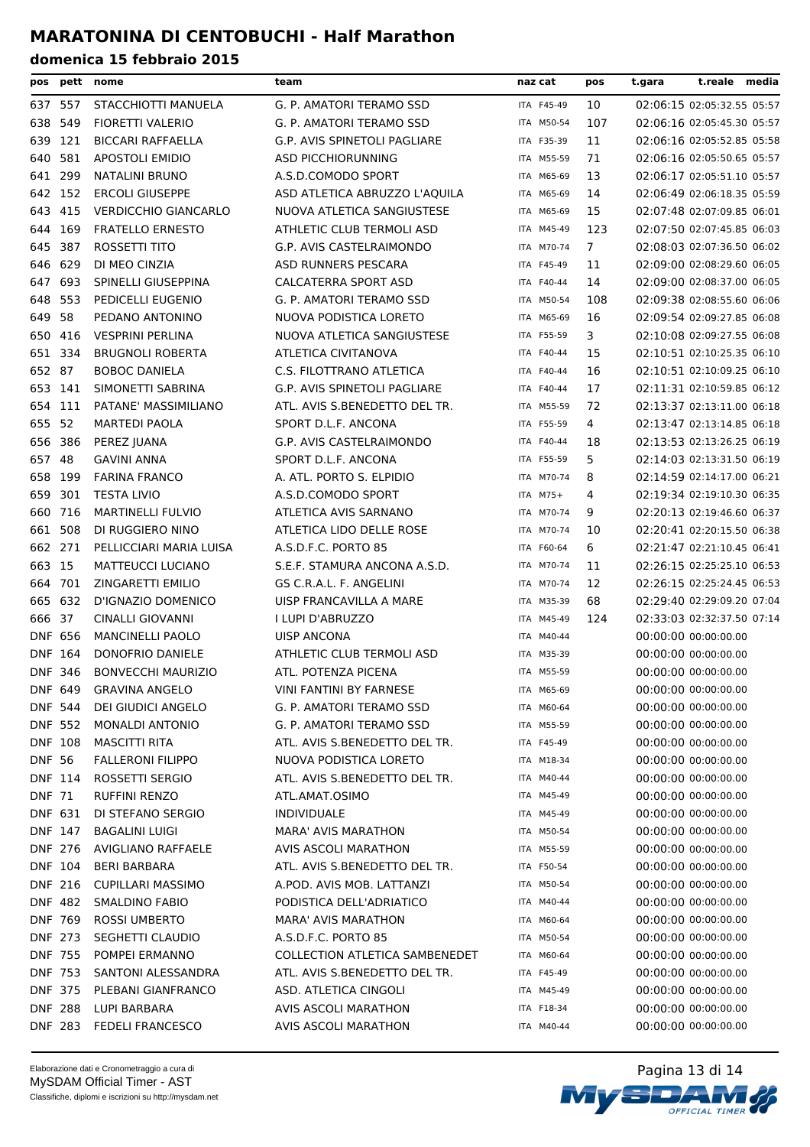| pos            | pett    | nome                        | team                                  | naz cat    | pos | t.gara | t.reale media              |  |
|----------------|---------|-----------------------------|---------------------------------------|------------|-----|--------|----------------------------|--|
| 637 557        |         | STACCHIOTTI MANUELA         | G. P. AMATORI TERAMO SSD              | ITA F45-49 | 10  |        | 02:06:15 02:05:32.55 05:57 |  |
| 638            | 549     | <b>FIORETTI VALERIO</b>     | G. P. AMATORI TERAMO SSD              | ITA M50-54 | 107 |        | 02:06:16 02:05:45.30 05:57 |  |
| 639            | 121     | <b>BICCARI RAFFAELLA</b>    | G.P. AVIS SPINETOLI PAGLIARE          | ITA F35-39 | 11  |        | 02:06:16 02:05:52.85 05:58 |  |
| 640            | 581     | <b>APOSTOLI EMIDIO</b>      | ASD PICCHIORUNNING                    | ITA M55-59 | 71  |        | 02:06:16 02:05:50.65 05:57 |  |
| 641            | 299     | <b>NATALINI BRUNO</b>       | A.S.D.COMODO SPORT                    | ITA M65-69 | 13  |        | 02:06:17 02:05:51.10 05:57 |  |
| 642 152        |         | <b>ERCOLI GIUSEPPE</b>      | ASD ATLETICA ABRUZZO L'AQUILA         | ITA M65-69 | 14  |        | 02:06:49 02:06:18.35 05:59 |  |
| 643            | 415     | <b>VERDICCHIO GIANCARLO</b> | NUOVA ATLETICA SANGIUSTESE            | ITA M65-69 | 15  |        | 02:07:48 02:07:09.85 06:01 |  |
| 644            | 169     | <b>FRATELLO ERNESTO</b>     | ATHLETIC CLUB TERMOLI ASD             | ITA M45-49 | 123 |        | 02:07:50 02:07:45.85 06:03 |  |
| 645            | 387     | ROSSETTI TITO               | G.P. AVIS CASTELRAIMONDO              | ITA M70-74 | 7   |        | 02:08:03 02:07:36.50 06:02 |  |
| 646 629        |         | DI MEO CINZIA               | ASD RUNNERS PESCARA                   | ITA F45-49 | 11  |        | 02:09:00 02:08:29.60 06:05 |  |
| 647            | 693     | SPINELLI GIUSEPPINA         | CALCATERRA SPORT ASD                  | ITA F40-44 | 14  |        | 02:09:00 02:08:37.00 06:05 |  |
| 648 553        |         | PEDICELLI EUGENIO           | G. P. AMATORI TERAMO SSD              | ITA M50-54 | 108 |        | 02:09:38 02:08:55.60 06:06 |  |
| 649 58         |         | PEDANO ANTONINO             | NUOVA PODISTICA LORETO                | ITA M65-69 | 16  |        | 02:09:54 02:09:27.85 06:08 |  |
| 650            | 416     | <b>VESPRINI PERLINA</b>     | NUOVA ATLETICA SANGIUSTESE            | ITA F55-59 | 3   |        | 02:10:08 02:09:27.55 06:08 |  |
| 651            | 334     | <b>BRUGNOLI ROBERTA</b>     | ATLETICA CIVITANOVA                   | ITA F40-44 | 15  |        | 02:10:51 02:10:25.35 06:10 |  |
| 652 87         |         | <b>BOBOC DANIELA</b>        | C.S. FILOTTRANO ATLETICA              | ITA F40-44 | 16  |        | 02:10:51 02:10:09.25 06:10 |  |
| 653 141        |         | SIMONETTI SABRINA           | G.P. AVIS SPINETOLI PAGLIARE          | ITA F40-44 | 17  |        | 02:11:31 02:10:59.85 06:12 |  |
| 654 111        |         | PATANE' MASSIMILIANO        | ATL. AVIS S.BENEDETTO DEL TR.         | ITA M55-59 | 72  |        | 02:13:37 02:13:11.00 06:18 |  |
| 655 52         |         | <b>MARTEDI PAOLA</b>        | SPORT D.L.F. ANCONA                   | ITA F55-59 | 4   |        | 02:13:47 02:13:14.85 06:18 |  |
| 656            | 386     | PEREZ JUANA                 | G.P. AVIS CASTELRAIMONDO              | ITA F40-44 | 18  |        | 02:13:53 02:13:26.25 06:19 |  |
| 657 48         |         | <b>GAVINI ANNA</b>          | SPORT D.L.F. ANCONA                   | ITA F55-59 | 5   |        | 02:14:03 02:13:31.50 06:19 |  |
| 658            | 199     | <b>FARINA FRANCO</b>        | A. ATL. PORTO S. ELPIDIO              | ITA M70-74 | 8   |        | 02:14:59 02:14:17.00 06:21 |  |
| 659 301        |         | <b>TESTA LIVIO</b>          | A.S.D.COMODO SPORT                    | ITA M75+   | 4   |        | 02:19:34 02:19:10.30 06:35 |  |
| 660 716        |         | <b>MARTINELLI FULVIO</b>    | ATLETICA AVIS SARNANO                 | ITA M70-74 | 9   |        | 02:20:13 02:19:46.60 06:37 |  |
| 661 508        |         | DI RUGGIERO NINO            | ATLETICA LIDO DELLE ROSE              | ITA M70-74 | 10  |        | 02:20:41 02:20:15.50 06:38 |  |
| 662 271        |         | PELLICCIARI MARIA LUISA     | A.S.D.F.C. PORTO 85                   | ITA F60-64 | 6   |        | 02:21:47 02:21:10.45 06:41 |  |
| 663 15         |         | <b>MATTEUCCI LUCIANO</b>    | S.E.F. STAMURA ANCONA A.S.D.          | ITA M70-74 | 11  |        | 02:26:15 02:25:25.10 06:53 |  |
| 664            | 701     | ZINGARETTI EMILIO           | GS C.R.A.L. F. ANGELINI               | ITA M70-74 | 12  |        | 02:26:15 02:25:24.45 06:53 |  |
| 665            | 632     | D'IGNAZIO DOMENICO          | UISP FRANCAVILLA A MARE               | ITA M35-39 | 68  |        | 02:29:40 02:29:09.20 07:04 |  |
| 666 37         |         | CINALLI GIOVANNI            | I LUPI D'ABRUZZO                      | ITA M45-49 | 124 |        | 02:33:03 02:32:37.50 07:14 |  |
| <b>DNF 656</b> |         | <b>MANCINELLI PAOLO</b>     | <b>UISP ANCONA</b>                    | ITA M40-44 |     |        | 00:00:00 00:00:00.00       |  |
| DNF 164        |         | DONOFRIO DANIELE            | ATHLETIC CLUB TERMOLI ASD             | ITA M35-39 |     |        | 00:00:00 00:00:00.00       |  |
| DNF 346        |         | <b>BONVECCHI MAURIZIO</b>   | ATL. POTENZA PICENA                   | ITA M55-59 |     |        | 00:00:00 00:00:00.00       |  |
|                |         | DNF 649 GRAVINA ANGELO      | VINI FANTINI BY FARNESE               | ITA M65-69 |     |        | 00:00:00 00:00:00.00       |  |
| DNF 544        |         | DEI GIUDICI ANGELO          | G. P. AMATORI TERAMO SSD              | ITA M60-64 |     |        | 00:00:00 00:00:00.00       |  |
| <b>DNF 552</b> |         | <b>MONALDI ANTONIO</b>      | G. P. AMATORI TERAMO SSD              | ITA M55-59 |     |        | 00:00:00 00:00:00.00       |  |
| <b>DNF 108</b> |         | <b>MASCITTI RITA</b>        | ATL. AVIS S.BENEDETTO DEL TR.         | ITA F45-49 |     |        | 00:00:00 00:00:00.00       |  |
| <b>DNF 56</b>  |         | <b>FALLERONI FILIPPO</b>    | NUOVA PODISTICA LORETO                | ITA M18-34 |     |        | 00:00:00 00:00:00.00       |  |
|                | DNF 114 | ROSSETTI SERGIO             | ATL. AVIS S.BENEDETTO DEL TR.         | ITA M40-44 |     |        | 00:00:00 00:00:00.00       |  |
| <b>DNF 71</b>  |         | <b>RUFFINI RENZO</b>        | ATL.AMAT.OSIMO                        | ITA M45-49 |     |        | 00:00:00 00:00:00.00       |  |
| DNF 631        |         | DI STEFANO SERGIO           | <b>INDIVIDUALE</b>                    | ITA M45-49 |     |        | 00:00:00 00:00:00.00       |  |
| DNF 147        |         | <b>BAGALINI LUIGI</b>       | <b>MARA' AVIS MARATHON</b>            | ITA M50-54 |     |        | 00:00:00 00:00:00.00       |  |
| <b>DNF 276</b> |         | <b>AVIGLIANO RAFFAELE</b>   | AVIS ASCOLI MARATHON                  | ITA M55-59 |     |        | 00:00:00 00:00:00.00       |  |
| DNF 104        |         | BERI BARBARA                | ATL. AVIS S.BENEDETTO DEL TR.         | ITA F50-54 |     |        | 00:00:00 00:00:00.00       |  |
| DNF 216        |         | CUPILLARI MASSIMO           | A.POD. AVIS MOB. LATTANZI             | ITA M50-54 |     |        | 00:00:00 00:00:00.00       |  |
| <b>DNF 482</b> |         | SMALDINO FABIO              | PODISTICA DELL'ADRIATICO              | ITA M40-44 |     |        | 00:00:00 00:00:00.00       |  |
| <b>DNF 769</b> |         | <b>ROSSI UMBERTO</b>        | <b>MARA' AVIS MARATHON</b>            | ITA M60-64 |     |        | 00:00:00 00:00:00.00       |  |
| DNF 273        |         | SEGHETTI CLAUDIO            | A.S.D.F.C. PORTO 85                   | ITA M50-54 |     |        | 00:00:00 00:00:00.00       |  |
| <b>DNF 755</b> |         | POMPEI ERMANNO              | <b>COLLECTION ATLETICA SAMBENEDET</b> | ITA M60-64 |     |        | 00:00:00 00:00:00.00       |  |
| <b>DNF 753</b> |         | SANTONI ALESSANDRA          | ATL. AVIS S.BENEDETTO DEL TR.         | ITA F45-49 |     |        | 00:00:00 00:00:00.00       |  |
| DNF 375        |         | PLEBANI GIANFRANCO          | ASD. ATLETICA CINGOLI                 | ITA M45-49 |     |        | 00:00:00 00:00:00.00       |  |
| <b>DNF 288</b> |         | LUPI BARBARA                | AVIS ASCOLI MARATHON                  | ITA F18-34 |     |        | 00:00:00 00:00:00.00       |  |
|                | DNF 283 | <b>FEDELI FRANCESCO</b>     | AVIS ASCOLI MARATHON                  | ITA M40-44 |     |        | 00:00:00 00:00:00.00       |  |